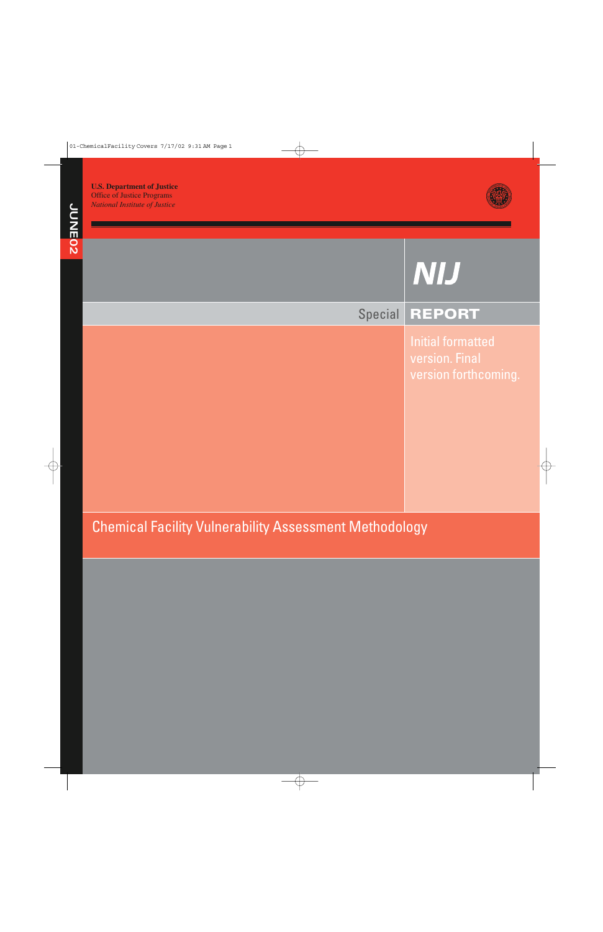

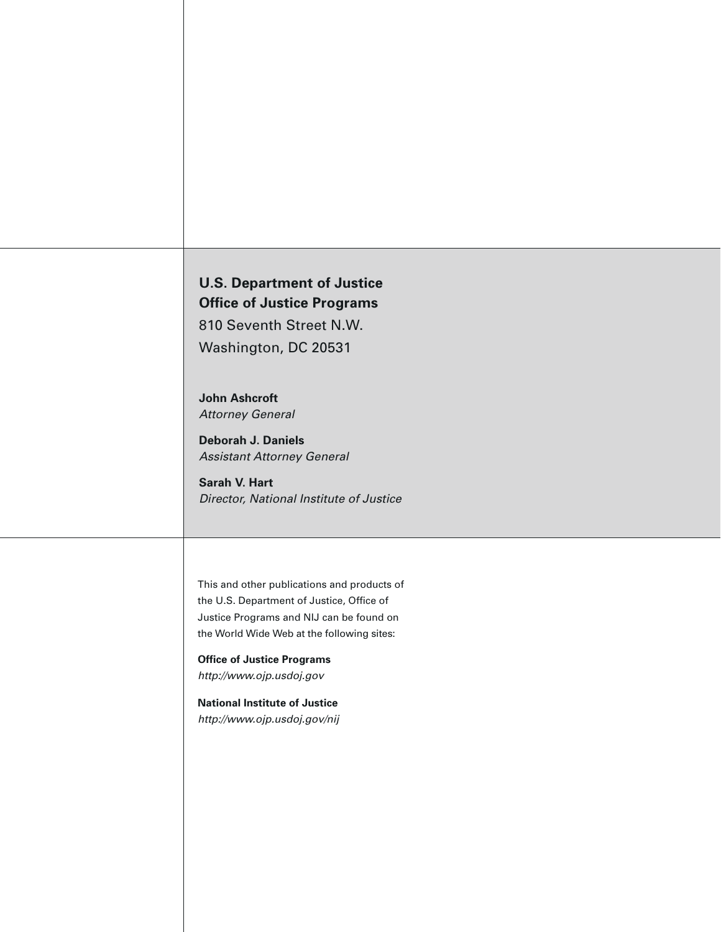## **U.S. Department of Justice Office of Justice Programs** 810 Seventh Street N.W.

Washington, DC 20531

**John Ashcroft** *Attorney General*

**Deborah J. Daniels** *Assistant Attorney General*

**Sarah V. Hart** *Director, National Institute of Justice*

This and other publications and products of the U.S. Department of Justice, Office of Justice Programs and NIJ can be found on the World Wide Web at the following sites:

**Office of Justice Programs** *http://www.ojp.usdoj.gov*

**National Institute of Justice** *http://www.ojp.usdoj.gov/nij*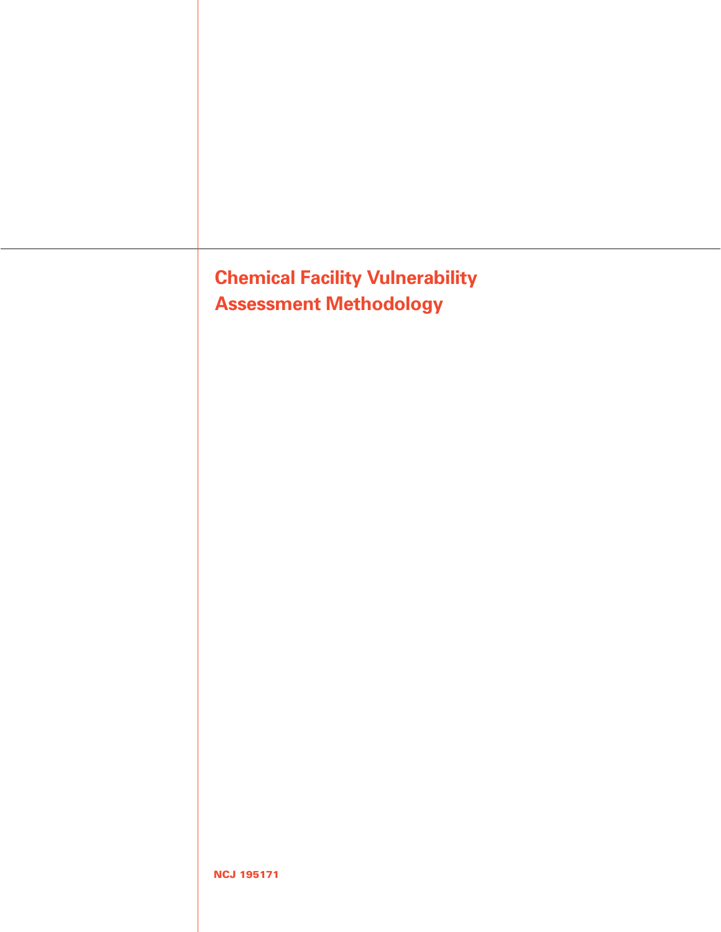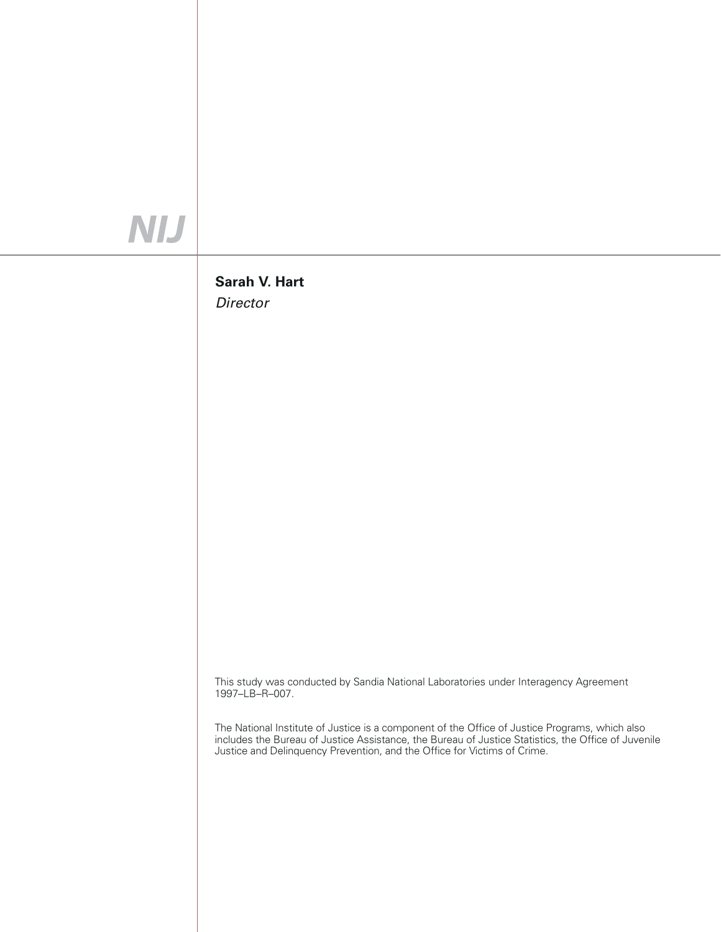# **NIJ**

# **Sarah V. Hart**

*Director*

This study was conducted by Sandia National Laboratories under Interagency Agreement 1997–LB–R–007.

The National Institute of Justice is a component of the Office of Justice Programs, which also includes the Bureau of Justice Assistance, the Bureau of Justice Statistics, the Office of Juvenile Justice and Delinquency Prevention, and the Office for Victims of Crime.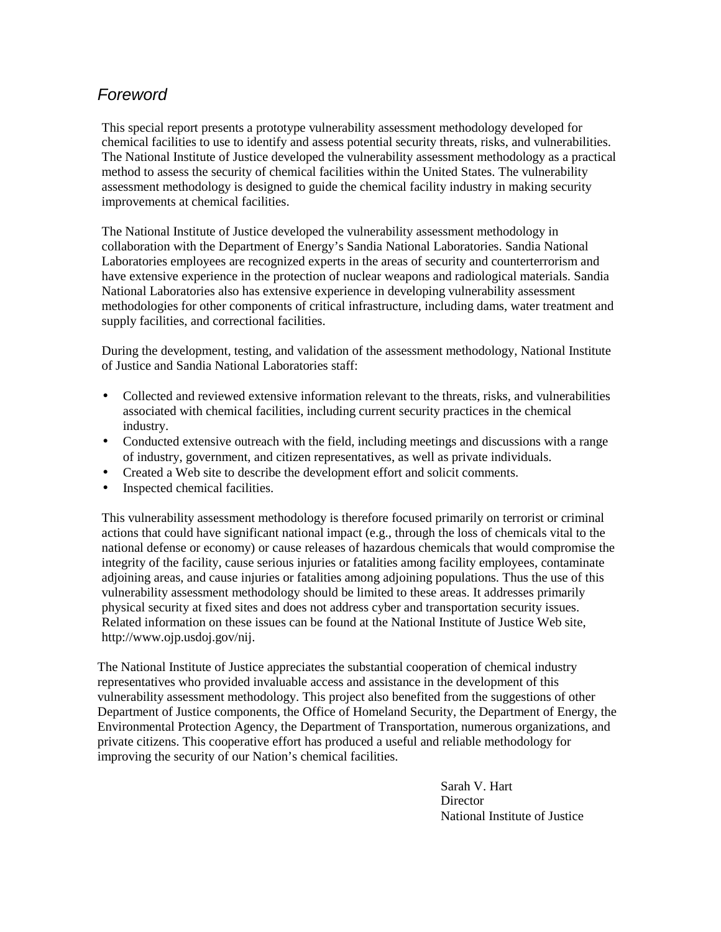#### *Foreword*

This special report presents a prototype vulnerability assessment methodology developed for chemical facilities to use to identify and assess potential security threats, risks, and vulnerabilities. The National Institute of Justice developed the vulnerability assessment methodology as a practical method to assess the security of chemical facilities within the United States. The vulnerability assessment methodology is designed to guide the chemical facility industry in making security improvements at chemical facilities.

The National Institute of Justice developed the vulnerability assessment methodology in collaboration with the Department of Energy's Sandia National Laboratories. Sandia National Laboratories employees are recognized experts in the areas of security and counterterrorism and have extensive experience in the protection of nuclear weapons and radiological materials. Sandia National Laboratories also has extensive experience in developing vulnerability assessment methodologies for other components of critical infrastructure, including dams, water treatment and supply facilities, and correctional facilities.

During the development, testing, and validation of the assessment methodology, National Institute of Justice and Sandia National Laboratories staff:

- Collected and reviewed extensive information relevant to the threats, risks, and vulnerabilities associated with chemical facilities, including current security practices in the chemical industry.
- Conducted extensive outreach with the field, including meetings and discussions with a range of industry, government, and citizen representatives, as well as private individuals.
- Created a Web site to describe the development effort and solicit comments.
- Inspected chemical facilities.

This vulnerability assessment methodology is therefore focused primarily on terrorist or criminal actions that could have significant national impact (e.g., through the loss of chemicals vital to the national defense or economy) or cause releases of hazardous chemicals that would compromise the integrity of the facility, cause serious injuries or fatalities among facility employees, contaminate adjoining areas, and cause injuries or fatalities among adjoining populations. Thus the use of this vulnerability assessment methodology should be limited to these areas. It addresses primarily physical security at fixed sites and does not address cyber and transportation security issues. Related information on these issues can be found at the National Institute of Justice Web site, http://www.ojp.usdoj.gov/nij.

The National Institute of Justice appreciates the substantial cooperation of chemical industry representatives who provided invaluable access and assistance in the development of this vulnerability assessment methodology. This project also benefited from the suggestions of other Department of Justice components, the Office of Homeland Security, the Department of Energy, the Environmental Protection Agency, the Department of Transportation, numerous organizations, and private citizens. This cooperative effort has produced a useful and reliable methodology for improving the security of our Nation's chemical facilities.

> Sarah V. Hart **Director** National Institute of Justice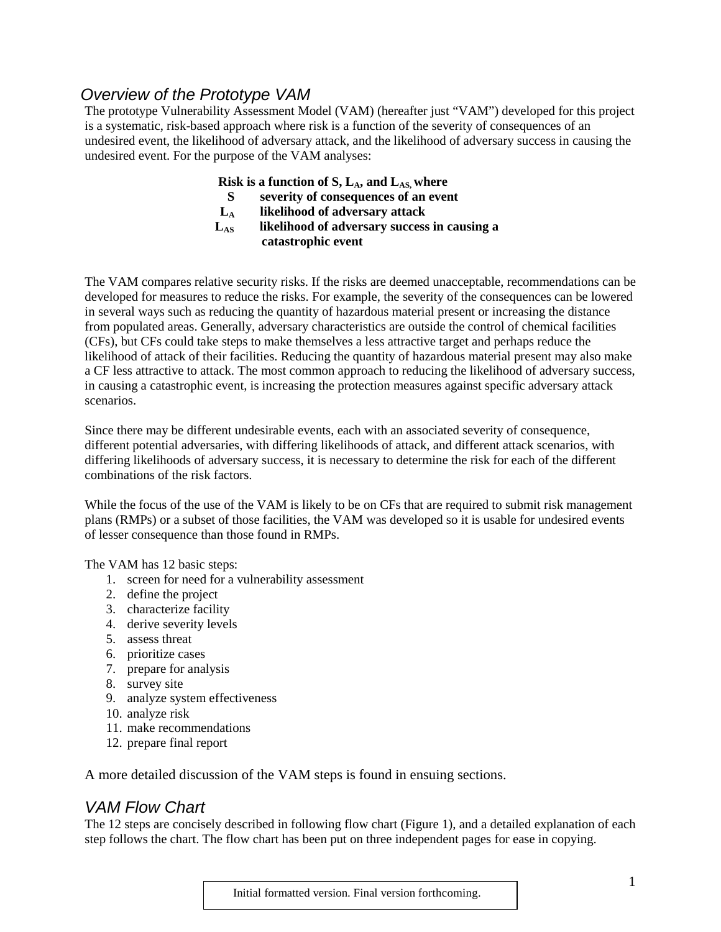## *Overview of the Prototype VAM*

The prototype Vulnerability Assessment Model (VAM) (hereafter just "VAM") developed for this project is a systematic, risk-based approach where risk is a function of the severity of consequences of an undesired event, the likelihood of adversary attack, and the likelihood of adversary success in causing the undesired event. For the purpose of the VAM analyses:

- **Risk is a function of S,**  $L_A$ **, and**  $L_{AS}$ **, where**
- **S**  $\equiv$  **severity of consequences of an event**
- L<sub>A</sub>  **likelihood of adversary attack**
- L<sub>AS</sub> likelihood of adversary success in causing a
	- **catastrophic event**

The VAM compares relative security risks. If the risks are deemed unacceptable, recommendations can be developed for measures to reduce the risks. For example, the severity of the consequences can be lowered in several ways such as reducing the quantity of hazardous material present or increasing the distance from populated areas. Generally, adversary characteristics are outside the control of chemical facilities (CFs), but CFs could take steps to make themselves a less attractive target and perhaps reduce the likelihood of attack of their facilities. Reducing the quantity of hazardous material present may also make a CF less attractive to attack. The most common approach to reducing the likelihood of adversary success, in causing a catastrophic event, is increasing the protection measures against specific adversary attack scenarios.

Since there may be different undesirable events, each with an associated severity of consequence, different potential adversaries, with differing likelihoods of attack, and different attack scenarios, with differing likelihoods of adversary success, it is necessary to determine the risk for each of the different combinations of the risk factors.

While the focus of the use of the VAM is likely to be on CFs that are required to submit risk management plans (RMPs) or a subset of those facilities, the VAM was developed so it is usable for undesired events of lesser consequence than those found in RMPs.

The VAM has 12 basic steps:

- 1. screen for need for a vulnerability assessment
- 2. define the project
- 3. characterize facility
- 4. derive severity levels
- 5. assess threat
- 6. prioritize cases
- 7. prepare for analysis
- 8. survey site
- 9. analyze system effectiveness
- 10. analyze risk
- 11. make recommendations
- 12. prepare final report

A more detailed discussion of the VAM steps is found in ensuing sections.

# *VAM Flow Chart*

The 12 steps are concisely described in following flow chart (Figure 1), and a detailed explanation of each step follows the chart. The flow chart has been put on three independent pages for ease in copying.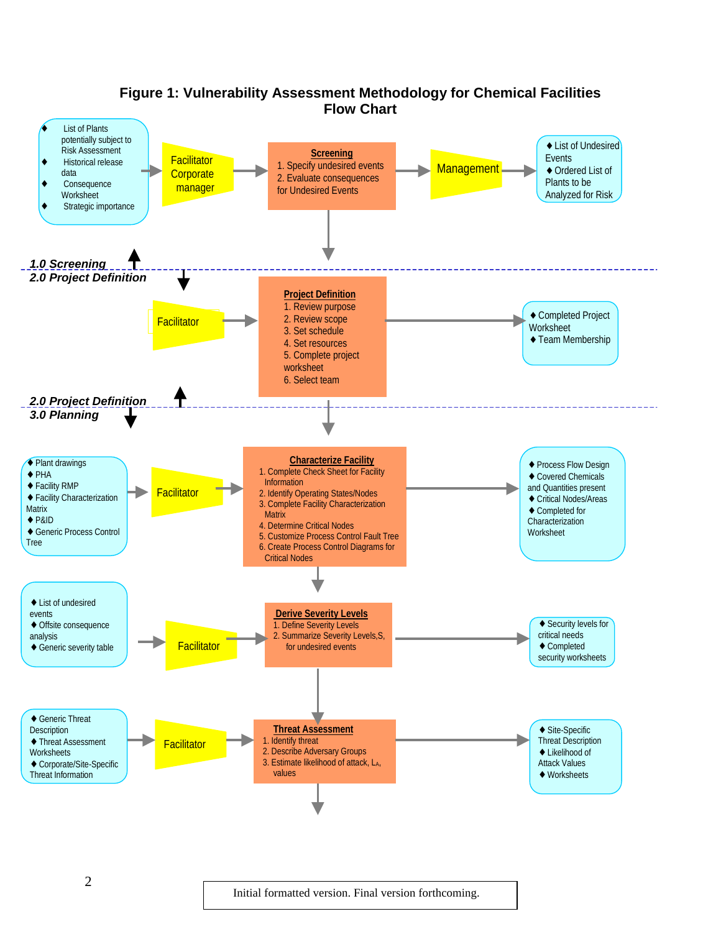

#### **Figure 1: Vulnerability Assessment Methodology for Chemical Facilities Flow Chart**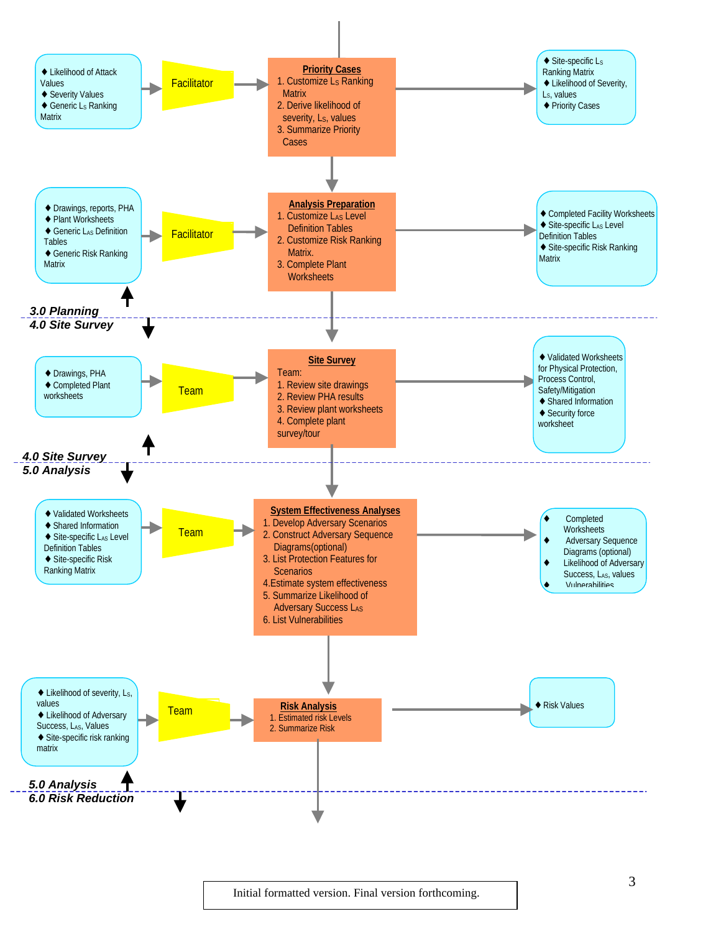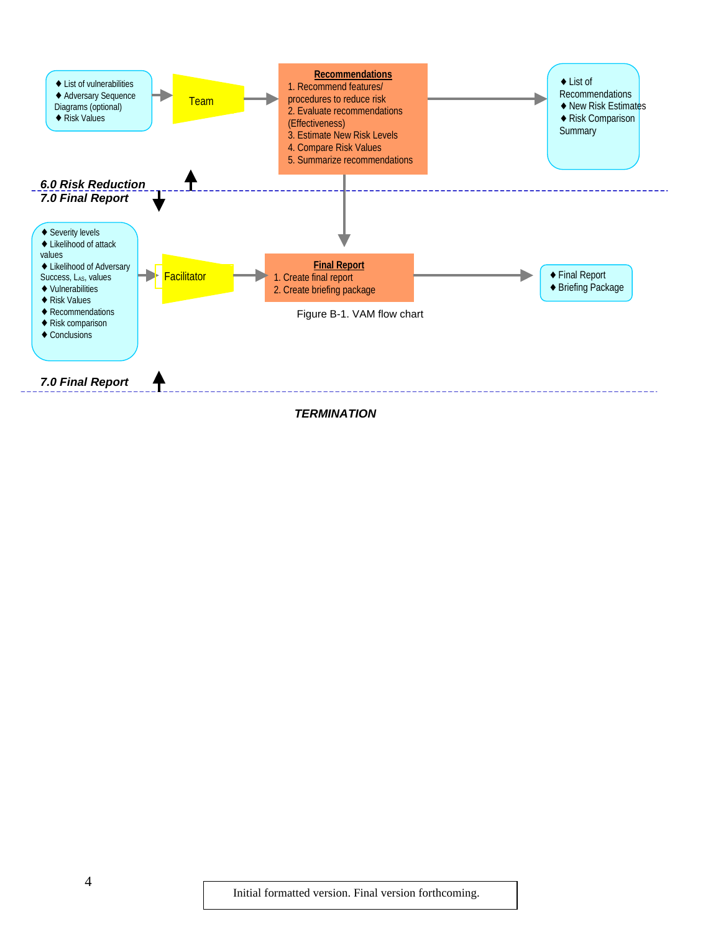

*TERMINATION*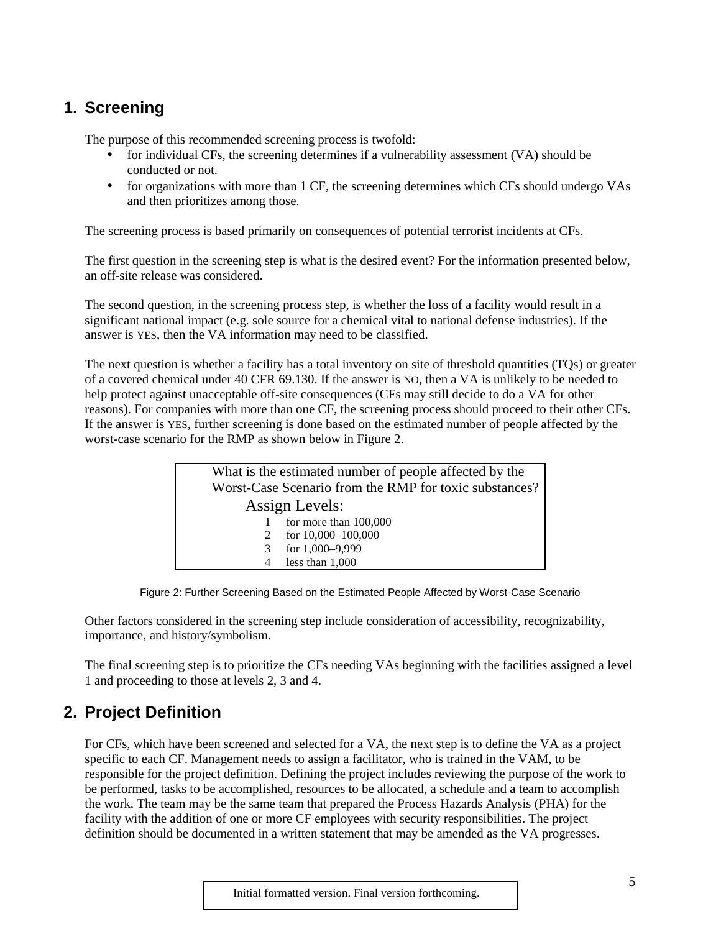# **1. Screening**

The purpose of this recommended screening process is twofold:

- for individual CFs, the screening determines if a vulnerability assessment (VA) should be conducted or not.
- for organizations with more than 1 CF, the screening determines which CFs should undergo VAs and then prioritizes among those.

The screening process is based primarily on consequences of potential terrorist incidents at CFs.

The first question in the screening step is what is the desired event? For the information presented below, an off-site release was considered.

The second question, in the screening process step, is whether the loss of a facility would result in a significant national impact (e.g. sole source for a chemical vital to national defense industries). If the answer is YES, then the VA information may need to be classified.

The next question is whether a facility has a total inventory on site of threshold quantities (TQs) or greater of a covered chemical under 40 CFR 69.130. If the answer is NO, then a VA is unlikely to be needed to help protect against unacceptable off-site consequences (CFs may still decide to do a VA for other reasons). For companies with more than one CF, the screening process should proceed to their other CFs. If the answer is YES, further screening is done based on the estimated number of people affected by the worst-case scenario for the RMP as shown below in Figure 2.

|                      | What is the estimated number of people affected by the |  |  |  |  |  |
|----------------------|--------------------------------------------------------|--|--|--|--|--|
|                      | Worst-Case Scenario from the RMP for toxic substances? |  |  |  |  |  |
|                      | <b>Assign Levels:</b>                                  |  |  |  |  |  |
|                      | for more than $100,000$                                |  |  |  |  |  |
|                      | for 10,000-100,000                                     |  |  |  |  |  |
| for 1,000-9,999<br>3 |                                                        |  |  |  |  |  |
|                      | less than $1,000$                                      |  |  |  |  |  |



Other factors considered in the screening step include consideration of accessibility, recognizability, importance, and history/symbolism.

The final screening step is to prioritize the CFs needing VAs beginning with the facilities assigned a level 1 and proceeding to those at levels 2, 3 and 4.

#### **2. Project Definition**

For CFs, which have been screened and selected for a VA, the next step is to define the VA as a project specific to each CF. Management needs to assign a facilitator, who is trained in the VAM, to be responsible for the project definition. Defining the project includes reviewing the purpose of the work to be performed, tasks to be accomplished, resources to be allocated, a schedule and a team to accomplish the work. The team may be the same team that prepared the Process Hazards Analysis (PHA) for the facility with the addition of one or more CF employees with security responsibilities. The project definition should be documented in a written statement that may be amended as the VA progresses.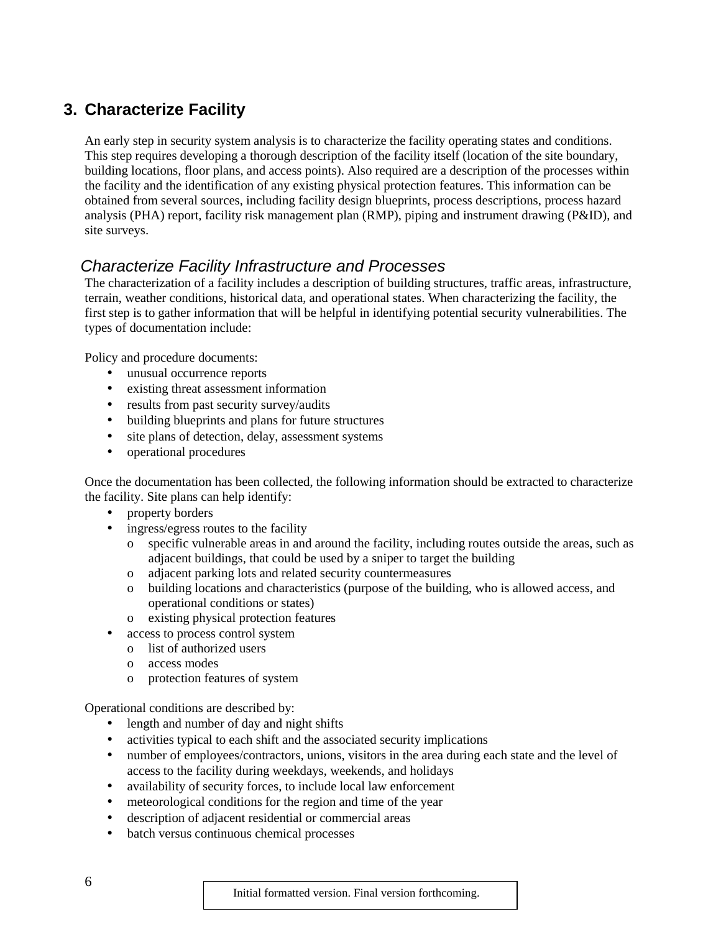# **3. Characterize Facility**

An early step in security system analysis is to characterize the facility operating states and conditions. This step requires developing a thorough description of the facility itself (location of the site boundary, building locations, floor plans, and access points). Also required are a description of the processes within the facility and the identification of any existing physical protection features. This information can be obtained from several sources, including facility design blueprints, process descriptions, process hazard analysis (PHA) report, facility risk management plan (RMP), piping and instrument drawing (P&ID), and site surveys.

## *Characterize Facility Infrastructure and Processes*

The characterization of a facility includes a description of building structures, traffic areas, infrastructure, terrain, weather conditions, historical data, and operational states. When characterizing the facility, the first step is to gather information that will be helpful in identifying potential security vulnerabilities. The types of documentation include:

Policy and procedure documents:

- unusual occurrence reports
- existing threat assessment information
- results from past security survey/audits
- building blueprints and plans for future structures
- site plans of detection, delay, assessment systems
- operational procedures

Once the documentation has been collected, the following information should be extracted to characterize the facility. Site plans can help identify:

- property borders
- ingress/egress routes to the facility
	- o specific vulnerable areas in and around the facility, including routes outside the areas, such as adjacent buildings, that could be used by a sniper to target the building
	- o adjacent parking lots and related security countermeasures
	- o building locations and characteristics (purpose of the building, who is allowed access, and operational conditions or states)
	- o existing physical protection features
	- access to process control system
		- o list of authorized users
		- o access modes
		- o protection features of system

Operational conditions are described by:

- length and number of day and night shifts
- activities typical to each shift and the associated security implications
- number of employees/contractors, unions, visitors in the area during each state and the level of access to the facility during weekdays, weekends, and holidays
- availability of security forces, to include local law enforcement
- meteorological conditions for the region and time of the year
- description of adjacent residential or commercial areas
- batch versus continuous chemical processes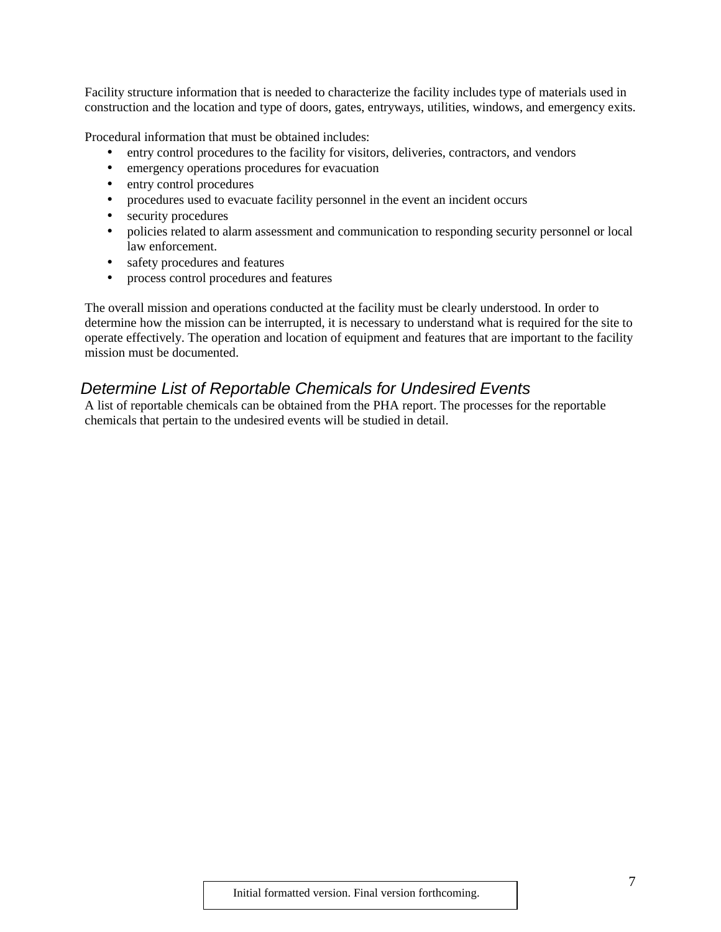Facility structure information that is needed to characterize the facility includes type of materials used in construction and the location and type of doors, gates, entryways, utilities, windows, and emergency exits.

Procedural information that must be obtained includes:

- entry control procedures to the facility for visitors, deliveries, contractors, and vendors
- emergency operations procedures for evacuation
- entry control procedures
- procedures used to evacuate facility personnel in the event an incident occurs
- security procedures
- policies related to alarm assessment and communication to responding security personnel or local law enforcement.
- safety procedures and features
- process control procedures and features

The overall mission and operations conducted at the facility must be clearly understood. In order to determine how the mission can be interrupted, it is necessary to understand what is required for the site to operate effectively. The operation and location of equipment and features that are important to the facility mission must be documented.

#### *Determine List of Reportable Chemicals for Undesired Events*

A list of reportable chemicals can be obtained from the PHA report. The processes for the reportable chemicals that pertain to the undesired events will be studied in detail.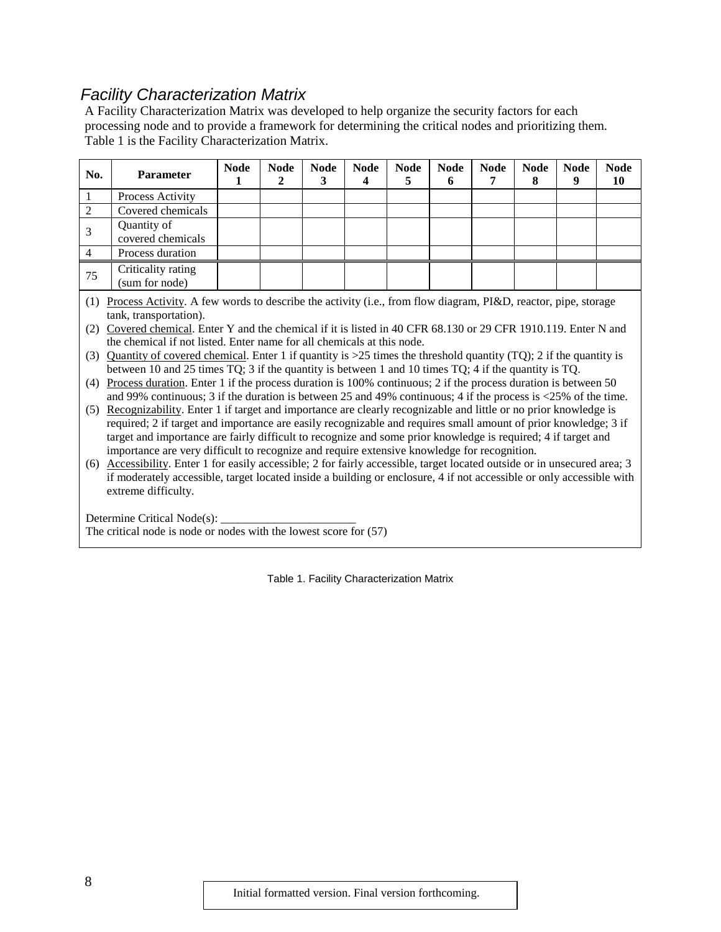# *Facility Characterization Matrix*

A Facility Characterization Matrix was developed to help organize the security factors for each processing node and to provide a framework for determining the critical nodes and prioritizing them. Table 1 is the Facility Characterization Matrix.

| No.            | <b>Parameter</b>                                                                                                                                                                                                                                                                                                                                                                                                                                                                                                                                                                                                                                                                                                                                                                                                                                         | <b>Node</b><br>1 | <b>Node</b><br>$\mathbf{2}$ | <b>Node</b><br>3 | <b>Node</b><br>4 | <b>Node</b><br>5 | <b>Node</b><br>6 | <b>Node</b><br>7 | <b>Node</b><br>8 | <b>Node</b><br>9 | <b>Node</b><br>10 |
|----------------|----------------------------------------------------------------------------------------------------------------------------------------------------------------------------------------------------------------------------------------------------------------------------------------------------------------------------------------------------------------------------------------------------------------------------------------------------------------------------------------------------------------------------------------------------------------------------------------------------------------------------------------------------------------------------------------------------------------------------------------------------------------------------------------------------------------------------------------------------------|------------------|-----------------------------|------------------|------------------|------------------|------------------|------------------|------------------|------------------|-------------------|
| $\mathbf{1}$   | Process Activity                                                                                                                                                                                                                                                                                                                                                                                                                                                                                                                                                                                                                                                                                                                                                                                                                                         |                  |                             |                  |                  |                  |                  |                  |                  |                  |                   |
| $\overline{2}$ | Covered chemicals                                                                                                                                                                                                                                                                                                                                                                                                                                                                                                                                                                                                                                                                                                                                                                                                                                        |                  |                             |                  |                  |                  |                  |                  |                  |                  |                   |
| 3              | Quantity of<br>covered chemicals                                                                                                                                                                                                                                                                                                                                                                                                                                                                                                                                                                                                                                                                                                                                                                                                                         |                  |                             |                  |                  |                  |                  |                  |                  |                  |                   |
| $\overline{4}$ | Process duration                                                                                                                                                                                                                                                                                                                                                                                                                                                                                                                                                                                                                                                                                                                                                                                                                                         |                  |                             |                  |                  |                  |                  |                  |                  |                  |                   |
| 75             | Criticality rating<br>(sum for node)                                                                                                                                                                                                                                                                                                                                                                                                                                                                                                                                                                                                                                                                                                                                                                                                                     |                  |                             |                  |                  |                  |                  |                  |                  |                  |                   |
|                | (1) Process Activity. A few words to describe the activity (i.e., from flow diagram, PI&D, reactor, pipe, storage<br>tank, transportation).<br>(2) Covered chemical. Enter Y and the chemical if it is listed in 40 CFR 68.130 or 29 CFR 1910.119. Enter N and                                                                                                                                                                                                                                                                                                                                                                                                                                                                                                                                                                                           |                  |                             |                  |                  |                  |                  |                  |                  |                  |                   |
|                | the chemical if not listed. Enter name for all chemicals at this node.<br>(3) Quantity of covered chemical. Enter 1 if quantity is $>25$ times the threshold quantity (TQ); 2 if the quantity is<br>between 10 and 25 times $TQ$ ; 3 if the quantity is between 1 and 10 times $TQ$ ; 4 if the quantity is $TQ$ .<br>(4) Process duration. Enter 1 if the process duration is 100% continuous; 2 if the process duration is between 50                                                                                                                                                                                                                                                                                                                                                                                                                   |                  |                             |                  |                  |                  |                  |                  |                  |                  |                   |
| (6)            | and 99% continuous; 3 if the duration is between 25 and 49% continuous; 4 if the process is $\langle 25\%$ of the time.<br>(5) Recognizability. Enter 1 if target and importance are clearly recognizable and little or no prior knowledge is<br>required; 2 if target and importance are easily recognizable and requires small amount of prior knowledge; 3 if<br>target and importance are fairly difficult to recognize and some prior knowledge is required; 4 if target and<br>importance are very difficult to recognize and require extensive knowledge for recognition.<br>Accessibility. Enter 1 for easily accessible; 2 for fairly accessible, target located outside or in unsecured area; 3<br>if moderately accessible, target located inside a building or enclosure, 4 if not accessible or only accessible with<br>extreme difficulty. |                  |                             |                  |                  |                  |                  |                  |                  |                  |                   |
|                | Determine Critical Node(s): _                                                                                                                                                                                                                                                                                                                                                                                                                                                                                                                                                                                                                                                                                                                                                                                                                            |                  |                             |                  |                  |                  |                  |                  |                  |                  |                   |
|                | The critical node is node or nodes with the lowest score for $(57)$                                                                                                                                                                                                                                                                                                                                                                                                                                                                                                                                                                                                                                                                                                                                                                                      |                  |                             |                  |                  |                  |                  |                  |                  |                  |                   |

Table 1. Facility Characterization Matrix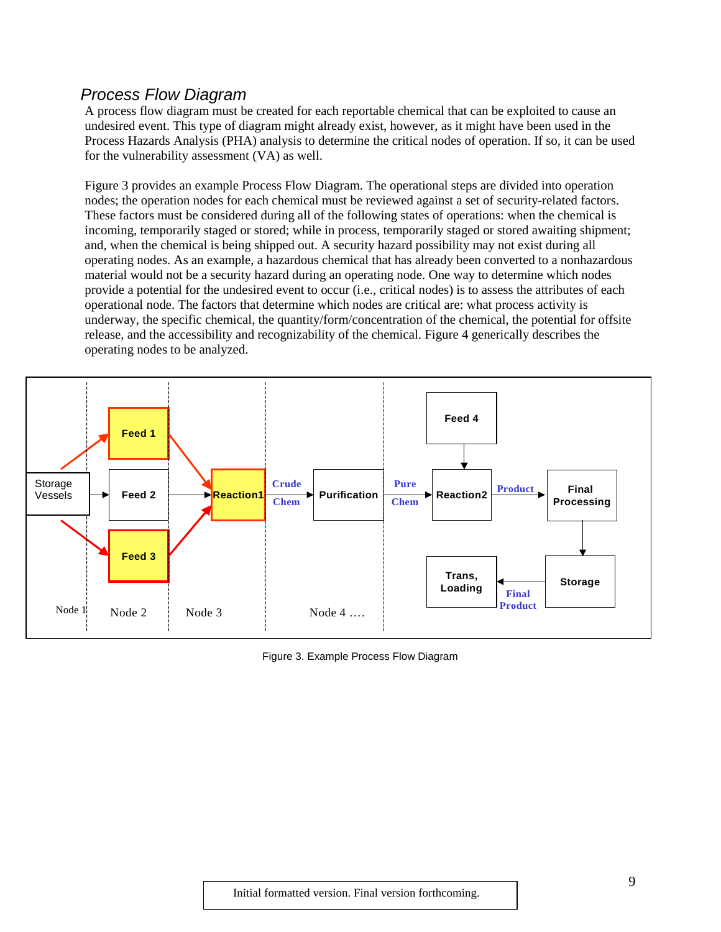#### *Process Flow Diagram*

A process flow diagram must be created for each reportable chemical that can be exploited to cause an undesired event. This type of diagram might already exist, however, as it might have been used in the Process Hazards Analysis (PHA) analysis to determine the critical nodes of operation. If so, it can be used for the vulnerability assessment (VA) as well.

Figure 3 provides an example Process Flow Diagram. The operational steps are divided into operation nodes; the operation nodes for each chemical must be reviewed against a set of security-related factors. These factors must be considered during all of the following states of operations: when the chemical is incoming, temporarily staged or stored; while in process, temporarily staged or stored awaiting shipment; and, when the chemical is being shipped out. A security hazard possibility may not exist during all operating nodes. As an example, a hazardous chemical that has already been converted to a nonhazardous material would not be a security hazard during an operating node. One way to determine which nodes provide a potential for the undesired event to occur (i.e., critical nodes) is to assess the attributes of each operational node. The factors that determine which nodes are critical are: what process activity is underway, the specific chemical, the quantity/form/concentration of the chemical, the potential for offsite release, and the accessibility and recognizability of the chemical. Figure 4 generically describes the operating nodes to be analyzed.



Figure 3. Example Process Flow Diagram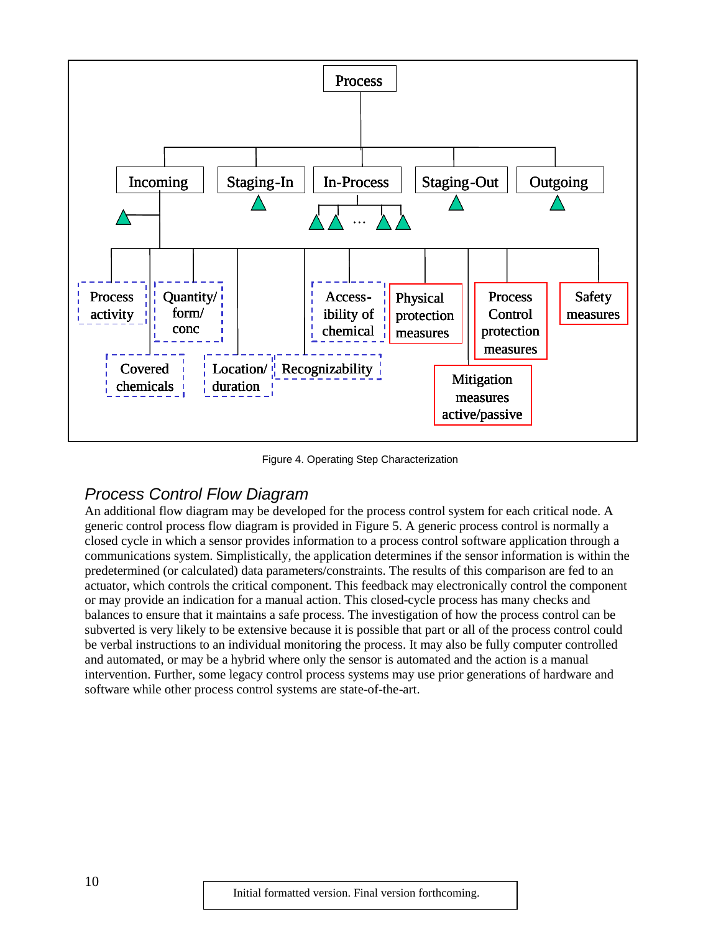

Figure 4. Operating Step Characterization

# *Process Control Flow Diagram*

An additional flow diagram may be developed for the process control system for each critical node. A generic control process flow diagram is provided in Figure 5. A generic process control is normally a closed cycle in which a sensor provides information to a process control software application through a communications system. Simplistically, the application determines if the sensor information is within the predetermined (or calculated) data parameters/constraints. The results of this comparison are fed to an actuator, which controls the critical component. This feedback may electronically control the component or may provide an indication for a manual action. This closed-cycle process has many checks and balances to ensure that it maintains a safe process. The investigation of how the process control can be subverted is very likely to be extensive because it is possible that part or all of the process control could be verbal instructions to an individual monitoring the process. It may also be fully computer controlled and automated, or may be a hybrid where only the sensor is automated and the action is a manual intervention. Further, some legacy control process systems may use prior generations of hardware and software while other process control systems are state-of-the-art.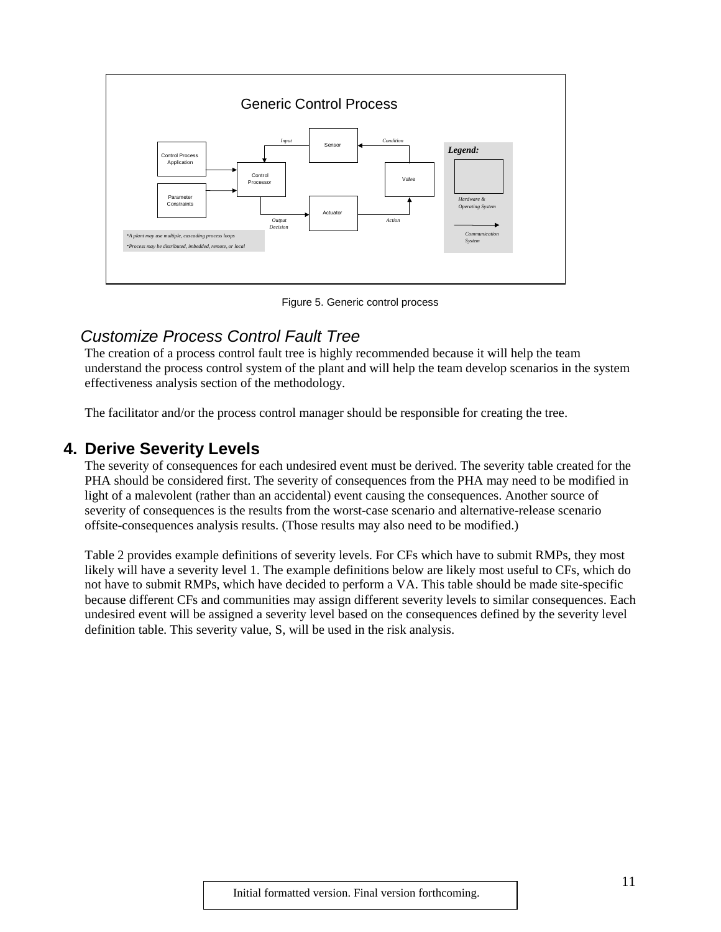

Figure 5. Generic control process

# *Customize Process Control Fault Tree*

The creation of a process control fault tree is highly recommended because it will help the team understand the process control system of the plant and will help the team develop scenarios in the system effectiveness analysis section of the methodology.

The facilitator and/or the process control manager should be responsible for creating the tree.

#### **4. Derive Severity Levels**

The severity of consequences for each undesired event must be derived. The severity table created for the PHA should be considered first. The severity of consequences from the PHA may need to be modified in light of a malevolent (rather than an accidental) event causing the consequences. Another source of severity of consequences is the results from the worst-case scenario and alternative-release scenario offsite-consequences analysis results. (Those results may also need to be modified.)

Table 2 provides example definitions of severity levels. For CFs which have to submit RMPs, they most likely will have a severity level 1. The example definitions below are likely most useful to CFs, which do not have to submit RMPs, which have decided to perform a VA. This table should be made site-specific because different CFs and communities may assign different severity levels to similar consequences. Each undesired event will be assigned a severity level based on the consequences defined by the severity level definition table. This severity value, S, will be used in the risk analysis.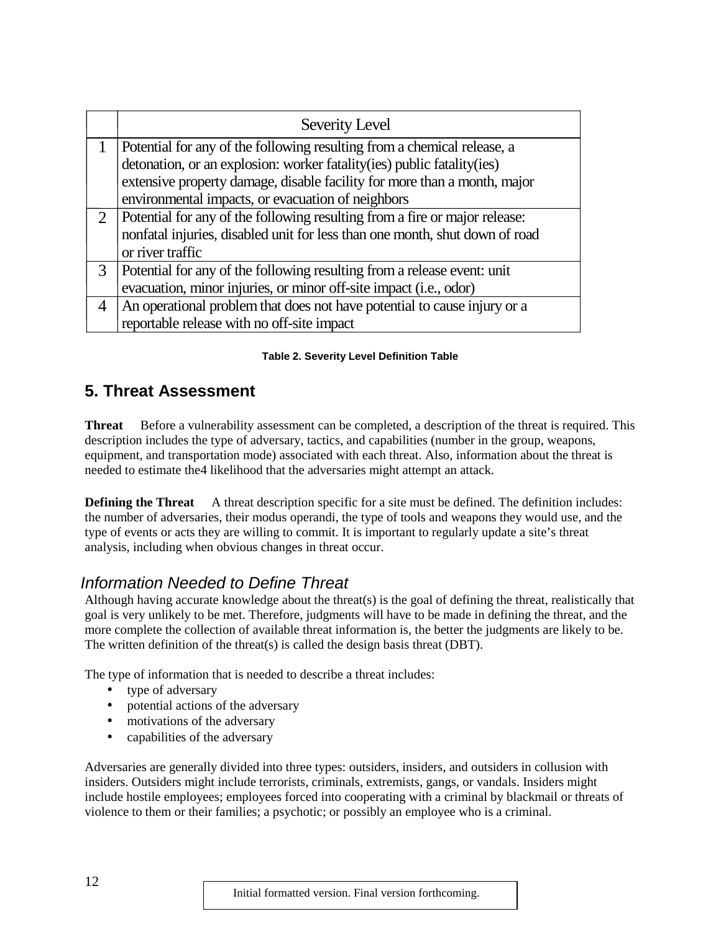|                | Severity Level                                                                                                                                                                                                                                                                     |
|----------------|------------------------------------------------------------------------------------------------------------------------------------------------------------------------------------------------------------------------------------------------------------------------------------|
|                | Potential for any of the following resulting from a chemical release, a<br>detonation, or an explosion: worker fatality(ies) public fatality(ies)<br>extensive property damage, disable facility for more than a month, major<br>environmental impacts, or evacuation of neighbors |
| $\overline{2}$ | Potential for any of the following resulting from a fire or major release:<br>nonfatal injuries, disabled unit for less than one month, shut down of road<br>or river traffic                                                                                                      |
| 3              | Potential for any of the following resulting from a release event: unit<br>evacuation, minor injuries, or minor off-site impact (i.e., odor)                                                                                                                                       |
| $\overline{4}$ | An operational problem that does not have potential to cause injury or a<br>reportable release with no off-site impact                                                                                                                                                             |

#### **Table 2. Severity Level Definition Table**

## **5. Threat Assessment**

**Threat** — Before a vulnerability assessment can be completed, a description of the threat is required. This description includes the type of adversary, tactics, and capabilities (number in the group, weapons, equipment, and transportation mode) associated with each threat. Also, information about the threat is needed to estimate the4 likelihood that the adversaries might attempt an attack.

**Defining the Threat**—A threat description specific for a site must be defined. The definition includes: the number of adversaries, their modus operandi, the type of tools and weapons they would use, and the type of events or acts they are willing to commit. It is important to regularly update a site's threat analysis, including when obvious changes in threat occur.

#### *Information Needed to Define Threat*

Although having accurate knowledge about the threat(s) is the goal of defining the threat, realistically that goal is very unlikely to be met. Therefore, judgments will have to be made in defining the threat, and the more complete the collection of available threat information is, the better the judgments are likely to be. The written definition of the threat(s) is called the design basis threat (DBT).

The type of information that is needed to describe a threat includes:

- type of adversary
- potential actions of the adversary
- motivations of the adversary
- capabilities of the adversary

Adversaries are generally divided into three types: outsiders, insiders, and outsiders in collusion with insiders. Outsiders might include terrorists, criminals, extremists, gangs, or vandals. Insiders might include hostile employees; employees forced into cooperating with a criminal by blackmail or threats of violence to them or their families; a psychotic; or possibly an employee who is a criminal.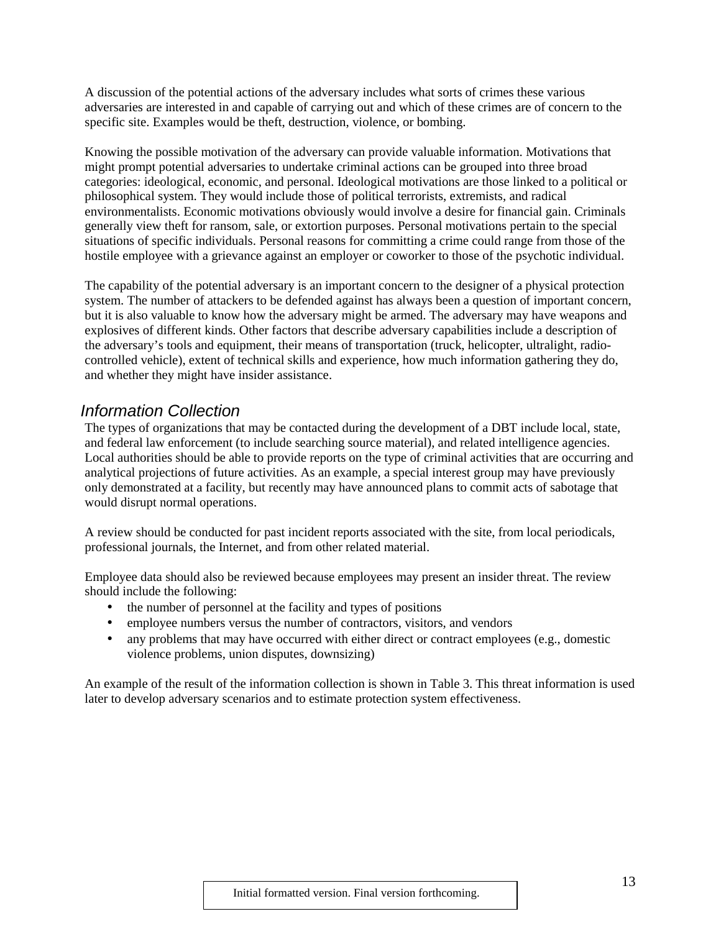A discussion of the potential actions of the adversary includes what sorts of crimes these various adversaries are interested in and capable of carrying out and which of these crimes are of concern to the specific site. Examples would be theft, destruction, violence, or bombing.

Knowing the possible motivation of the adversary can provide valuable information. Motivations that might prompt potential adversaries to undertake criminal actions can be grouped into three broad categories: ideological, economic, and personal. Ideological motivations are those linked to a political or philosophical system. They would include those of political terrorists, extremists, and radical environmentalists. Economic motivations obviously would involve a desire for financial gain. Criminals generally view theft for ransom, sale, or extortion purposes. Personal motivations pertain to the special situations of specific individuals. Personal reasons for committing a crime could range from those of the hostile employee with a grievance against an employer or coworker to those of the psychotic individual.

The capability of the potential adversary is an important concern to the designer of a physical protection system. The number of attackers to be defended against has always been a question of important concern, but it is also valuable to know how the adversary might be armed. The adversary may have weapons and explosives of different kinds. Other factors that describe adversary capabilities include a description of the adversary's tools and equipment, their means of transportation (truck, helicopter, ultralight, radiocontrolled vehicle), extent of technical skills and experience, how much information gathering they do, and whether they might have insider assistance.

#### *Information Collection*

The types of organizations that may be contacted during the development of a DBT include local, state, and federal law enforcement (to include searching source material), and related intelligence agencies. Local authorities should be able to provide reports on the type of criminal activities that are occurring and analytical projections of future activities. As an example, a special interest group may have previously only demonstrated at a facility, but recently may have announced plans to commit acts of sabotage that would disrupt normal operations.

A review should be conducted for past incident reports associated with the site, from local periodicals, professional journals, the Internet, and from other related material.

Employee data should also be reviewed because employees may present an insider threat. The review should include the following:

- the number of personnel at the facility and types of positions
- employee numbers versus the number of contractors, visitors, and vendors
- any problems that may have occurred with either direct or contract employees (e.g., domestic violence problems, union disputes, downsizing)

An example of the result of the information collection is shown in Table 3. This threat information is used later to develop adversary scenarios and to estimate protection system effectiveness.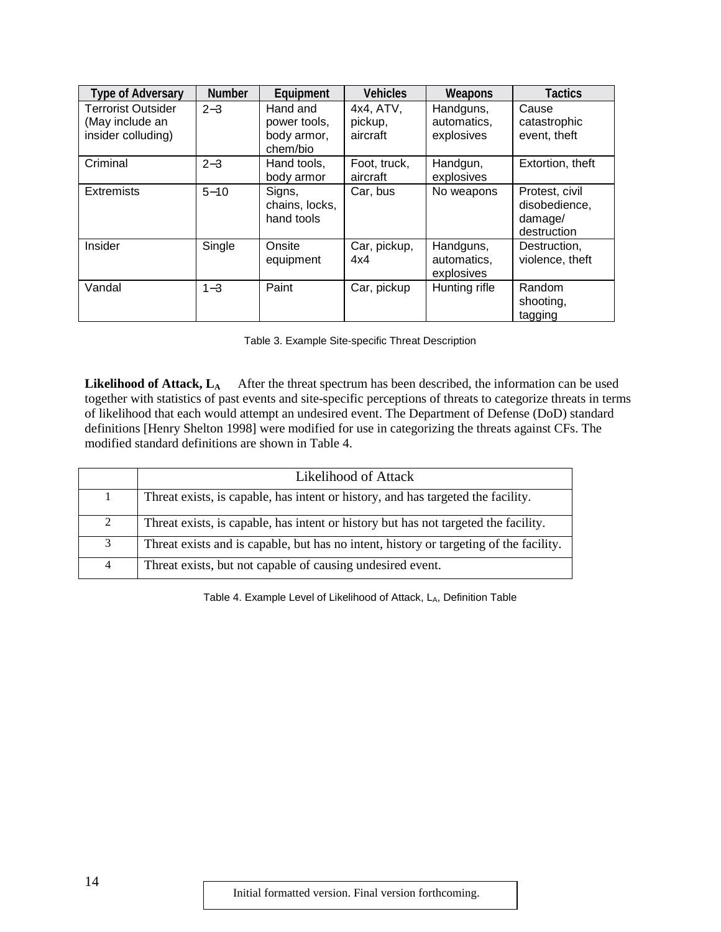| <b>Type of Adversary</b>                                           | <b>Number</b> | Equipment                                           | <b>Vehicles</b>                  | <b>Weapons</b>                         | <b>Tactics</b>                                            |
|--------------------------------------------------------------------|---------------|-----------------------------------------------------|----------------------------------|----------------------------------------|-----------------------------------------------------------|
| <b>Terrorist Outsider</b><br>(May include an<br>insider colluding) | $2 - 3$       | Hand and<br>power tools,<br>body armor,<br>chem/bio | 4x4, ATV,<br>pickup,<br>aircraft | Handguns,<br>automatics,<br>explosives | Cause<br>catastrophic<br>event, theft                     |
| Criminal                                                           | $2 - 3$       | Hand tools,<br>body armor                           | Foot, truck,<br>aircraft         | Handgun,<br>explosives                 | Extortion, theft                                          |
| <b>Extremists</b>                                                  | $5 - 10$      | Signs,<br>chains, locks,<br>hand tools              | Car, bus                         | No weapons                             | Protest, civil<br>disobedience,<br>damage/<br>destruction |
| Insider                                                            | Single        | Onsite<br>equipment                                 | Car, pickup,<br>4x4              | Handguns,<br>automatics,<br>explosives | Destruction.<br>violence, theft                           |
| Vandal                                                             | $1 - 3$       | Paint                                               | Car, pickup                      | Hunting rifle                          | Random<br>shooting,<br>tagging                            |

Likelihood of Attack, L<sub>A</sub> —After the threat spectrum has been described, the information can be used together with statistics of past events and site-specific perceptions of threats to categorize threats in terms of likelihood that each would attempt an undesired event. The Department of Defense (DoD) standard definitions [Henry Shelton 1998] were modified for use in categorizing the threats against CFs. The modified standard definitions are shown in Table 4.

|   | Likelihood of Attack                                                                   |
|---|----------------------------------------------------------------------------------------|
|   | Threat exists, is capable, has intent or history, and has targeted the facility.       |
| 2 | Threat exists, is capable, has intent or history but has not targeted the facility.    |
| 3 | Threat exists and is capable, but has no intent, history or targeting of the facility. |
| 4 | Threat exists, but not capable of causing undesired event.                             |

Table 4. Example Level of Likelihood of Attack, LA, Definition Table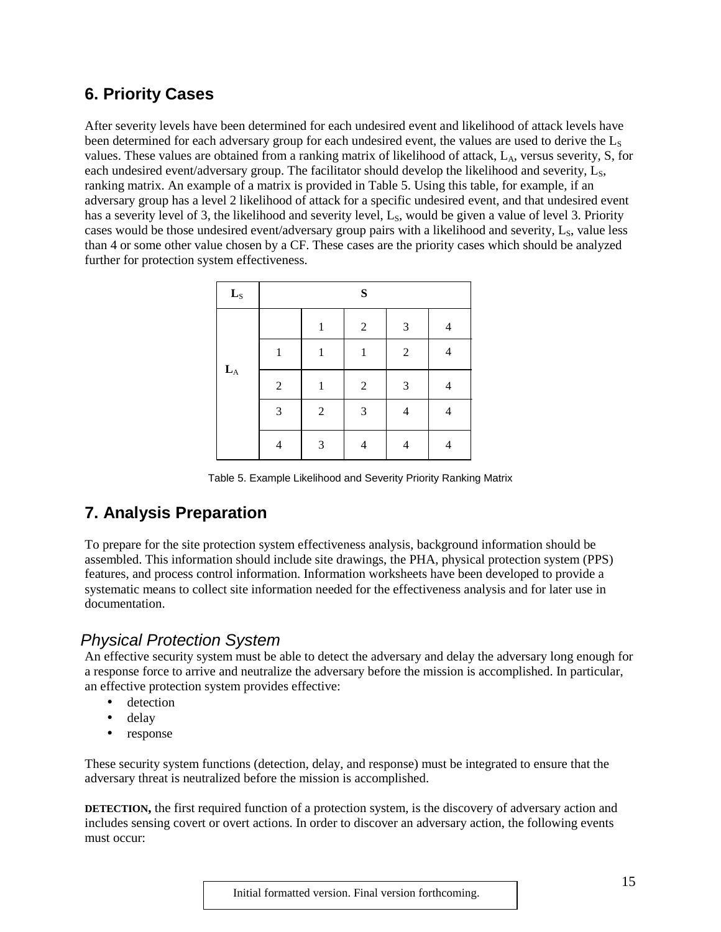# **6. Priority Cases**

After severity levels have been determined for each undesired event and likelihood of attack levels have been determined for each adversary group for each undesired event, the values are used to derive the  $L_s$ values. These values are obtained from a ranking matrix of likelihood of attack,  $L_A$ , versus severity, S, for each undesired event/adversary group. The facilitator should develop the likelihood and severity,  $L_s$ , ranking matrix. An example of a matrix is provided in Table 5. Using this table, for example, if an adversary group has a level 2 likelihood of attack for a specific undesired event, and that undesired event has a severity level of 3, the likelihood and severity level, L<sub>S</sub>, would be given a value of level 3. Priority cases would be those undesired event/adversary group pairs with a likelihood and severity,  $L_s$ , value less than 4 or some other value chosen by a CF. These cases are the priority cases which should be analyzed further for protection system effectiveness.

| $\mathbf{L}_\text{S}$   | ${\bf S}$  |              |                  |                          |   |  |  |  |
|-------------------------|------------|--------------|------------------|--------------------------|---|--|--|--|
|                         |            | $\mathbf{1}$ | $\boldsymbol{2}$ | $\mathfrak{Z}$           | 4 |  |  |  |
|                         | 1          | 1            | 1                | $\sqrt{2}$               | 4 |  |  |  |
| $\mathbf{L}_\mathrm{A}$ | $\sqrt{2}$ | 1            | $\boldsymbol{2}$ | $\mathfrak{Z}$           | 4 |  |  |  |
|                         | 3          | $\sqrt{2}$   | 3                | $\overline{\mathcal{L}}$ | 4 |  |  |  |
|                         | 4          | 3            | 4                | 4                        | 4 |  |  |  |

Table 5. Example Likelihood and Severity Priority Ranking Matrix

# **7. Analysis Preparation**

To prepare for the site protection system effectiveness analysis, background information should be assembled. This information should include site drawings, the PHA, physical protection system (PPS) features, and process control information. Information worksheets have been developed to provide a systematic means to collect site information needed for the effectiveness analysis and for later use in documentation.

#### *Physical Protection System*

An effective security system must be able to detect the adversary and delay the adversary long enough for a response force to arrive and neutralize the adversary before the mission is accomplished. In particular, an effective protection system provides effective:

- detection
- delay
- response

These security system functions (detection, delay, and response) must be integrated to ensure that the adversary threat is neutralized before the mission is accomplished.

**DETECTION,** the first required function of a protection system, is the discovery of adversary action and includes sensing covert or overt actions. In order to discover an adversary action, the following events must occur: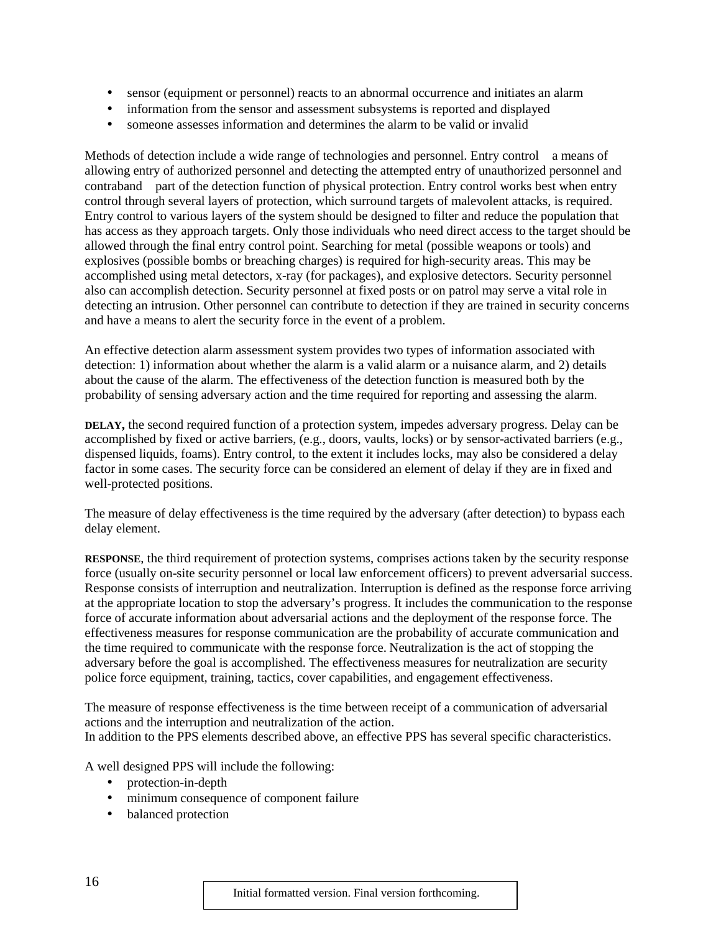- sensor (equipment or personnel) reacts to an abnormal occurrence and initiates an alarm
- information from the sensor and assessment subsystems is reported and displayed
- someone assesses information and determines the alarm to be valid or invalid

Methods of detection include a wide range of technologies and personnel. Entry control—a means of allowing entry of authorized personnel and detecting the attempted entry of unauthorized personnel and contraband—part of the detection function of physical protection. Entry control works best when entry control through several layers of protection, which surround targets of malevolent attacks, is required. Entry control to various layers of the system should be designed to filter and reduce the population that has access as they approach targets. Only those individuals who need direct access to the target should be allowed through the final entry control point. Searching for metal (possible weapons or tools) and explosives (possible bombs or breaching charges) is required for high-security areas. This may be accomplished using metal detectors, x-ray (for packages), and explosive detectors. Security personnel also can accomplish detection. Security personnel at fixed posts or on patrol may serve a vital role in detecting an intrusion. Other personnel can contribute to detection if they are trained in security concerns and have a means to alert the security force in the event of a problem.

An effective detection alarm assessment system provides two types of information associated with detection: 1) information about whether the alarm is a valid alarm or a nuisance alarm, and 2) details about the cause of the alarm. The effectiveness of the detection function is measured both by the probability of sensing adversary action and the time required for reporting and assessing the alarm.

**DELAY,** the second required function of a protection system, impedes adversary progress. Delay can be accomplished by fixed or active barriers, (e.g., doors, vaults, locks) or by sensor-activated barriers (e.g., dispensed liquids, foams). Entry control, to the extent it includes locks, may also be considered a delay factor in some cases. The security force can be considered an element of delay if they are in fixed and well-protected positions.

The measure of delay effectiveness is the time required by the adversary (after detection) to bypass each delay element.

**RESPONSE**, the third requirement of protection systems, comprises actions taken by the security response force (usually on-site security personnel or local law enforcement officers) to prevent adversarial success. Response consists of interruption and neutralization. Interruption is defined as the response force arriving at the appropriate location to stop the adversary's progress. It includes the communication to the response force of accurate information about adversarial actions and the deployment of the response force. The effectiveness measures for response communication are the probability of accurate communication and the time required to communicate with the response force. Neutralization is the act of stopping the adversary before the goal is accomplished. The effectiveness measures for neutralization are security police force equipment, training, tactics, cover capabilities, and engagement effectiveness.

The measure of response effectiveness is the time between receipt of a communication of adversarial actions and the interruption and neutralization of the action. In addition to the PPS elements described above, an effective PPS has several specific characteristics.

A well designed PPS will include the following:

- protection-in-depth
- minimum consequence of component failure
- balanced protection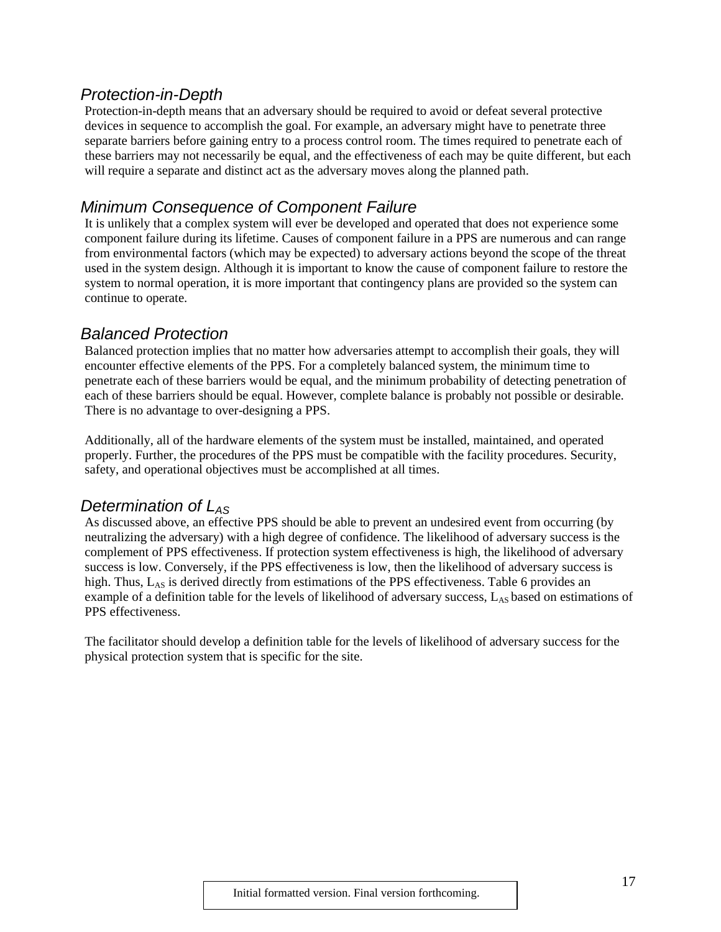#### *Protection-in-Depth*

Protection-in-depth means that an adversary should be required to avoid or defeat several protective devices in sequence to accomplish the goal. For example, an adversary might have to penetrate three separate barriers before gaining entry to a process control room. The times required to penetrate each of these barriers may not necessarily be equal, and the effectiveness of each may be quite different, but each will require a separate and distinct act as the adversary moves along the planned path.

# *Minimum Consequence of Component Failure*

It is unlikely that a complex system will ever be developed and operated that does not experience some component failure during its lifetime. Causes of component failure in a PPS are numerous and can range from environmental factors (which may be expected) to adversary actions beyond the scope of the threat used in the system design. Although it is important to know the cause of component failure to restore the system to normal operation, it is more important that contingency plans are provided so the system can continue to operate.

#### *Balanced Protection*

Balanced protection implies that no matter how adversaries attempt to accomplish their goals, they will encounter effective elements of the PPS. For a completely balanced system, the minimum time to penetrate each of these barriers would be equal, and the minimum probability of detecting penetration of each of these barriers should be equal. However, complete balance is probably not possible or desirable. There is no advantage to over-designing a PPS.

Additionally, all of the hardware elements of the system must be installed, maintained, and operated properly. Further, the procedures of the PPS must be compatible with the facility procedures. Security, safety, and operational objectives must be accomplished at all times.

#### *Determination of LAS*

As discussed above, an effective PPS should be able to prevent an undesired event from occurring (by neutralizing the adversary) with a high degree of confidence. The likelihood of adversary success is the complement of PPS effectiveness. If protection system effectiveness is high, the likelihood of adversary success is low. Conversely, if the PPS effectiveness is low, then the likelihood of adversary success is high. Thus,  $L_{AS}$  is derived directly from estimations of the PPS effectiveness. Table 6 provides an example of a definition table for the levels of likelihood of adversary success,  $L_{AS}$  based on estimations of PPS effectiveness.

The facilitator should develop a definition table for the levels of likelihood of adversary success for the physical protection system that is specific for the site.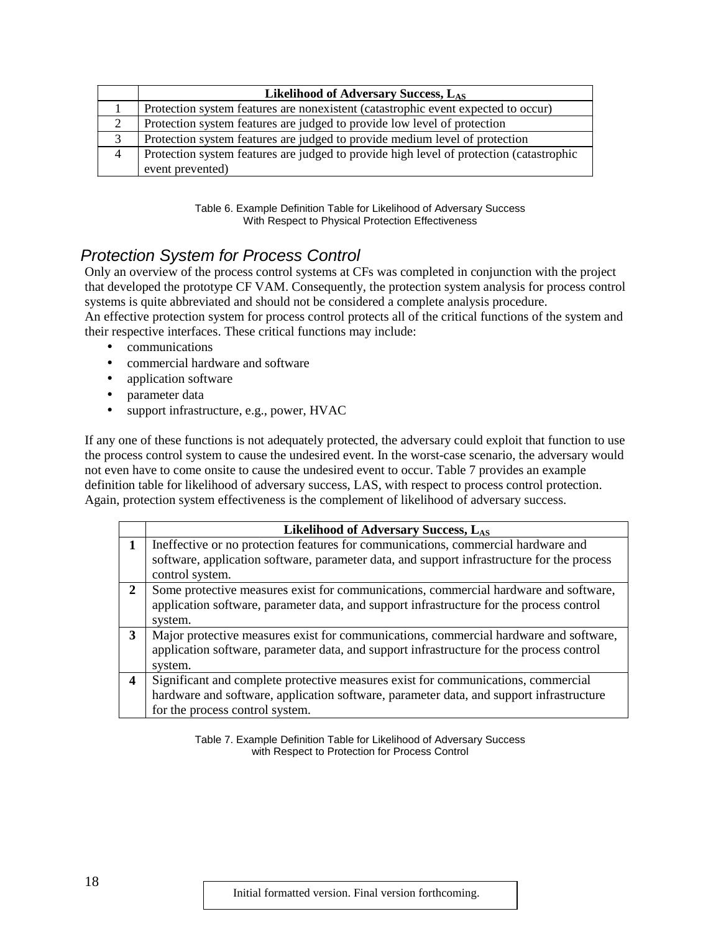|                | Likelihood of Adversary Success, LAS                                                    |
|----------------|-----------------------------------------------------------------------------------------|
|                | Protection system features are nonexistent (catastrophic event expected to occur)       |
|                | Protection system features are judged to provide low level of protection                |
| 3              | Protection system features are judged to provide medium level of protection             |
| $\overline{4}$ | Protection system features are judged to provide high level of protection (catastrophic |
|                | event prevented)                                                                        |

Table 6. Example Definition Table for Likelihood of Adversary Success With Respect to Physical Protection Effectiveness

## *Protection System for Process Control*

Only an overview of the process control systems at CFs was completed in conjunction with the project that developed the prototype CF VAM. Consequently, the protection system analysis for process control systems is quite abbreviated and should not be considered a complete analysis procedure.

An effective protection system for process control protects all of the critical functions of the system and their respective interfaces. These critical functions may include:

- communications
- commercial hardware and software
- application software
- parameter data
- support infrastructure, e.g., power, HVAC

If any one of these functions is not adequately protected, the adversary could exploit that function to use the process control system to cause the undesired event. In the worst-case scenario, the adversary would not even have to come onsite to cause the undesired event to occur. Table 7 provides an example definition table for likelihood of adversary success, LAS, with respect to process control protection. Again, protection system effectiveness is the complement of likelihood of adversary success.

|                         | Likelihood of Adversary Success, LAS                                                       |
|-------------------------|--------------------------------------------------------------------------------------------|
|                         | Ineffective or no protection features for communications, commercial hardware and          |
|                         | software, application software, parameter data, and support infrastructure for the process |
|                         | control system.                                                                            |
| $\overline{2}$          | Some protective measures exist for communications, commercial hardware and software,       |
|                         | application software, parameter data, and support infrastructure for the process control   |
|                         | system.                                                                                    |
| 3                       | Major protective measures exist for communications, commercial hardware and software,      |
|                         | application software, parameter data, and support infrastructure for the process control   |
|                         | system.                                                                                    |
| $\overline{\mathbf{4}}$ | Significant and complete protective measures exist for communications, commercial          |
|                         | hardware and software, application software, parameter data, and support infrastructure    |
|                         | for the process control system.                                                            |

Table 7. Example Definition Table for Likelihood of Adversary Success with Respect to Protection for Process Control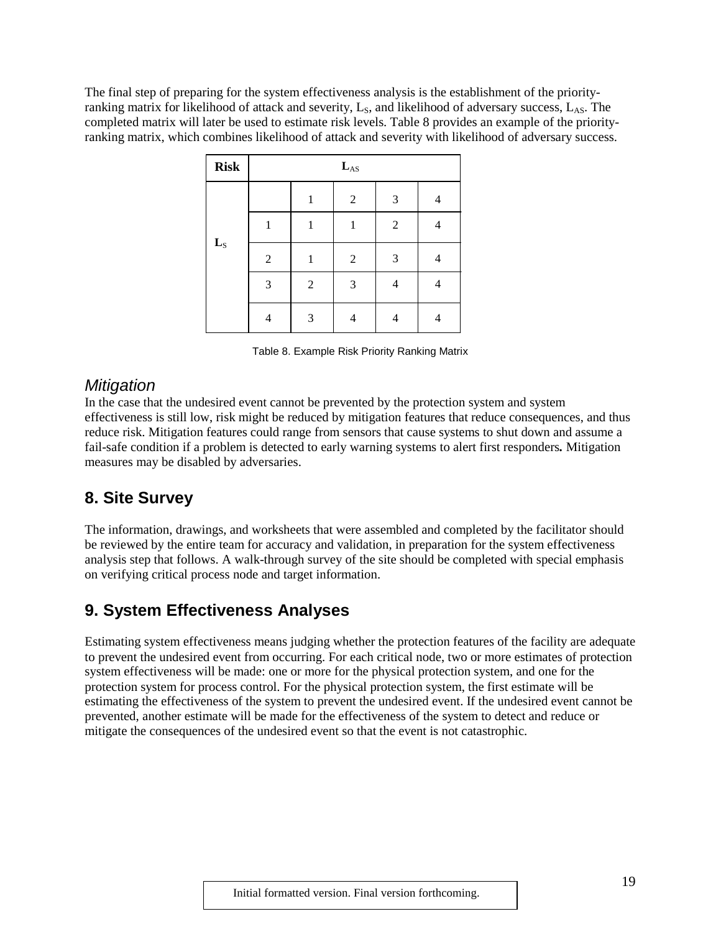The final step of preparing for the system effectiveness analysis is the establishment of the priorityranking matrix for likelihood of attack and severity,  $L_s$ , and likelihood of adversary success,  $L_{AS}$ . The completed matrix will later be used to estimate risk levels. Table 8 provides an example of the priorityranking matrix, which combines likelihood of attack and severity with likelihood of adversary success.

| <b>Risk</b>           | $\mathbf{L}_{\mathrm{AS}}$ |                |                  |                  |   |  |  |
|-----------------------|----------------------------|----------------|------------------|------------------|---|--|--|
|                       |                            | 1              | $\boldsymbol{2}$ | $\mathfrak{Z}$   | 4 |  |  |
|                       | 1                          |                |                  | $\boldsymbol{2}$ | 4 |  |  |
| $\mathbf{L}_\text{S}$ | $\sqrt{2}$                 |                | $\boldsymbol{2}$ | 3                | 4 |  |  |
|                       | 3                          | $\overline{2}$ | 3                | 4                | 4 |  |  |
|                       | 4                          | 3              |                  | 4                | 4 |  |  |

Table 8. Example Risk Priority Ranking Matrix

#### *Mitigation*

In the case that the undesired event cannot be prevented by the protection system and system effectiveness is still low, risk might be reduced by mitigation features that reduce consequences, and thus reduce risk. Mitigation features could range from sensors that cause systems to shut down and assume a fail-safe condition if a problem is detected to early warning systems to alert first responders*.* Mitigation measures may be disabled by adversaries.

# **8. Site Survey**

The information, drawings, and worksheets that were assembled and completed by the facilitator should be reviewed by the entire team for accuracy and validation, in preparation for the system effectiveness analysis step that follows. A walk-through survey of the site should be completed with special emphasis on verifying critical process node and target information.

# **9. System Effectiveness Analyses**

Estimating system effectiveness means judging whether the protection features of the facility are adequate to prevent the undesired event from occurring. For each critical node, two or more estimates of protection system effectiveness will be made: one or more for the physical protection system, and one for the protection system for process control. For the physical protection system, the first estimate will be estimating the effectiveness of the system to prevent the undesired event. If the undesired event cannot be prevented, another estimate will be made for the effectiveness of the system to detect and reduce or mitigate the consequences of the undesired event so that the event is not catastrophic.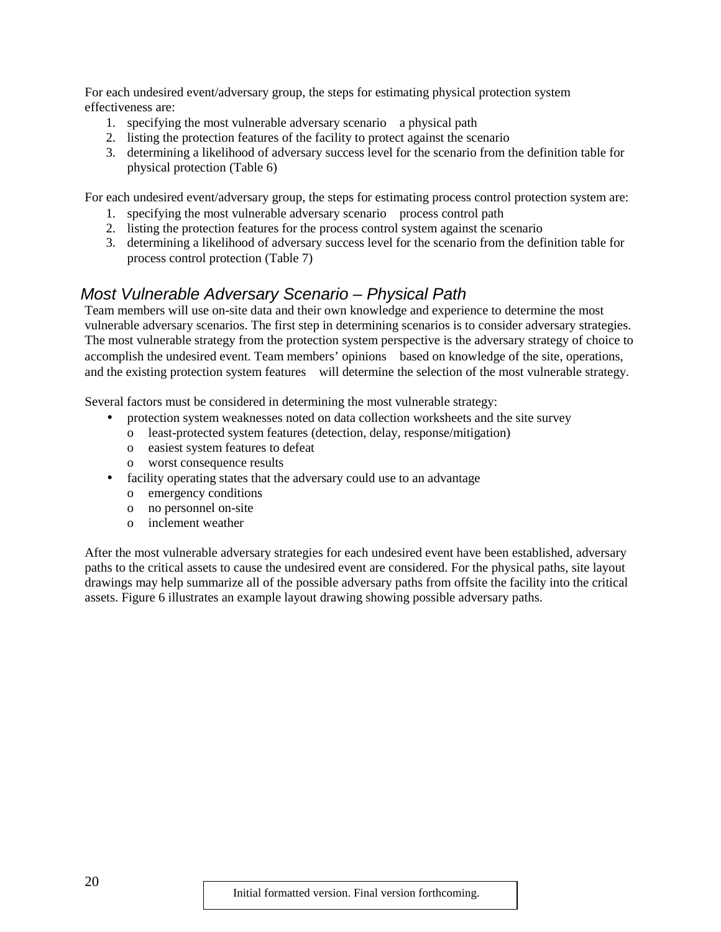For each undesired event/adversary group, the steps for estimating physical protection system effectiveness are:

- 1. specifying the most vulnerable adversary scenario—a physical path
- 2. listing the protection features of the facility to protect against the scenario
- 3. determining a likelihood of adversary success level for the scenario from the definition table for physical protection (Table 6)

For each undesired event/adversary group, the steps for estimating process control protection system are:

- 1. specifying the most vulnerable adversary scenario---process control path
- 2. listing the protection features for the process control system against the scenario
- 3. determining a likelihood of adversary success level for the scenario from the definition table for process control protection (Table 7)

## *Most Vulnerable Adversary Scenario – Physical Path*

Team members will use on-site data and their own knowledge and experience to determine the most vulnerable adversary scenarios. The first step in determining scenarios is to consider adversary strategies. The most vulnerable strategy from the protection system perspective is the adversary strategy of choice to accomplish the undesired event. Team members' opinions—based on knowledge of the site, operations, and the existing protection system features—will determine the selection of the most vulnerable strategy.

Several factors must be considered in determining the most vulnerable strategy:

- protection system weaknesses noted on data collection worksheets and the site survey
	- o least-protected system features (detection, delay, response/mitigation)
	- o easiest system features to defeat
	- o worst consequence results
- facility operating states that the adversary could use to an advantage
	- o emergency conditions
	- o no personnel on-site
	- o inclement weather

After the most vulnerable adversary strategies for each undesired event have been established, adversary paths to the critical assets to cause the undesired event are considered. For the physical paths, site layout drawings may help summarize all of the possible adversary paths from offsite the facility into the critical assets. Figure 6 illustrates an example layout drawing showing possible adversary paths.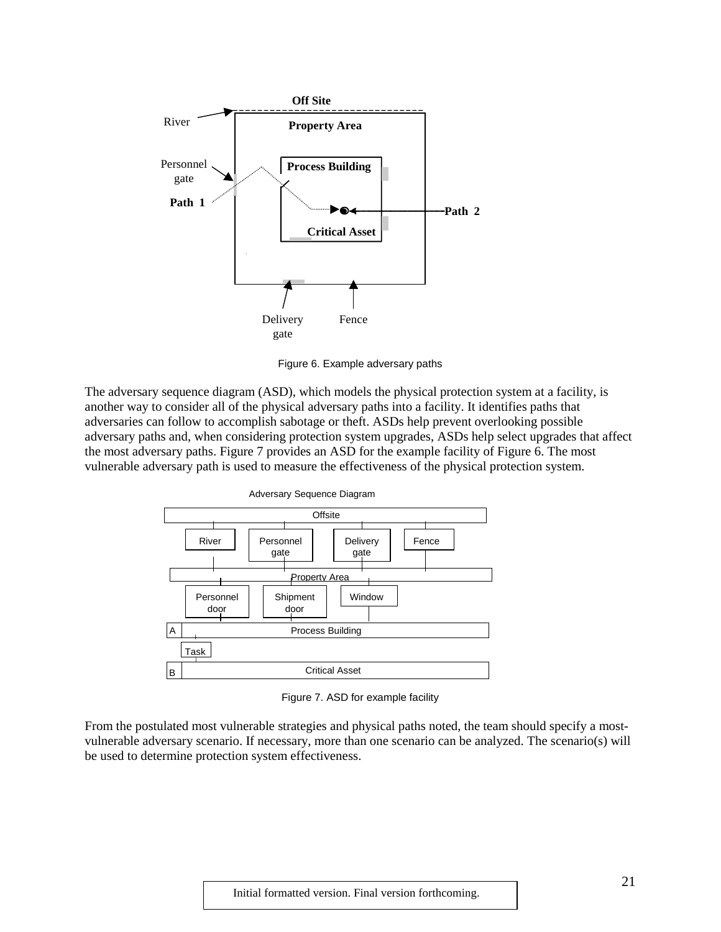

Figure 6. Example adversary paths

The adversary sequence diagram (ASD), which models the physical protection system at a facility, is another way to consider all of the physical adversary paths into a facility. It identifies paths that adversaries can follow to accomplish sabotage or theft. ASDs help prevent overlooking possible adversary paths and, when considering protection system upgrades, ASDs help select upgrades that affect the most adversary paths. Figure 7 provides an ASD for the example facility of Figure 6. The most vulnerable adversary path is used to measure the effectiveness of the physical protection system.



Figure 7. ASD for example facility

From the postulated most vulnerable strategies and physical paths noted, the team should specify a mostvulnerable adversary scenario. If necessary, more than one scenario can be analyzed. The scenario(s) will be used to determine protection system effectiveness.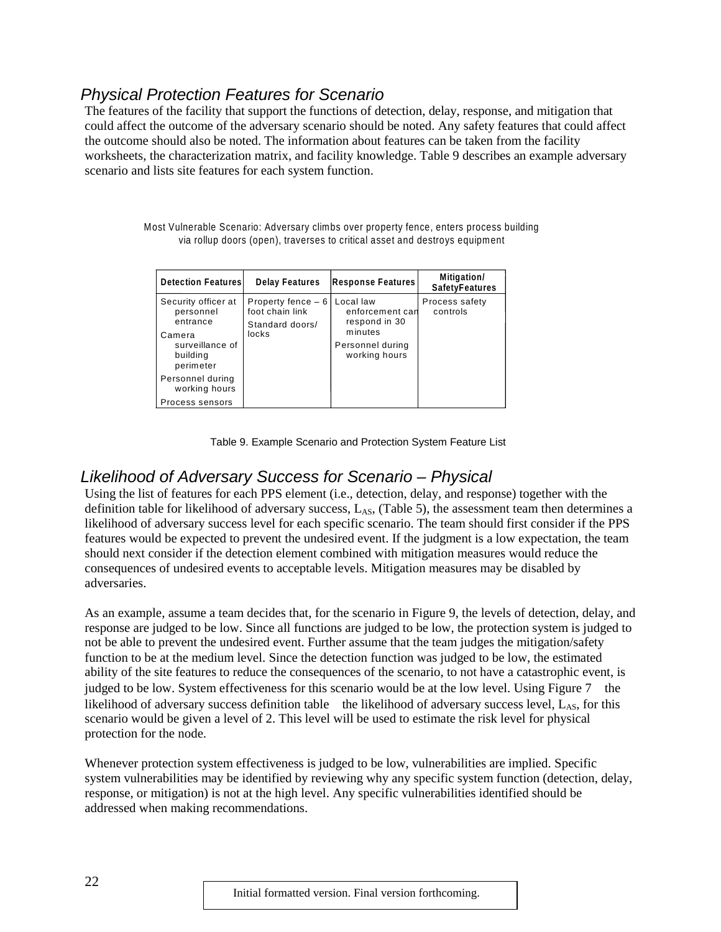## *Physical Protection Features for Scenario*

The features of the facility that support the functions of detection, delay, response, and mitigation that could affect the outcome of the adversary scenario should be noted. Any safety features that could affect the outcome should also be noted. The information about features can be taken from the facility worksheets, the characterization matrix, and facility knowledge. Table 9 describes an example adversary scenario and lists site features for each system function.

|  |  |                                                                             | Most Vulnerable Scenario: Adversary climbs over property fence, enters process building |
|--|--|-----------------------------------------------------------------------------|-----------------------------------------------------------------------------------------|
|  |  | via rollup doors (open), traverses to critical asset and destroys equipment |                                                                                         |

| <b>Detection Features</b>                                                                          | <b>Delay Features</b>                                              | <b>Response Features</b>                                                                      | Mitigation/<br><b>SafetyFeatures</b> |
|----------------------------------------------------------------------------------------------------|--------------------------------------------------------------------|-----------------------------------------------------------------------------------------------|--------------------------------------|
| Security officer at<br>personnel<br>entrance<br>Camera<br>surveillance of<br>building<br>perimeter | Property fence $-6$<br>foot chain link<br>Standard doors/<br>locks | Local law<br>enforcement can<br>respond in 30<br>minutes<br>Personnel during<br>working hours | Process safety<br>controls           |
| Personnel during<br>working hours                                                                  |                                                                    |                                                                                               |                                      |
| Process sensors                                                                                    |                                                                    |                                                                                               |                                      |



#### *Likelihood of Adversary Success for Scenario – Physical*

Using the list of features for each PPS element (i.e., detection, delay, and response) together with the definition table for likelihood of adversary success,  $L_{AS}$ , (Table 5), the assessment team then determines a likelihood of adversary success level for each specific scenario. The team should first consider if the PPS features would be expected to prevent the undesired event. If the judgment is a low expectation, the team should next consider if the detection element combined with mitigation measures would reduce the consequences of undesired events to acceptable levels. Mitigation measures may be disabled by adversaries.

As an example, assume a team decides that, for the scenario in Figure 9, the levels of detection, delay, and response are judged to be low. Since all functions are judged to be low, the protection system is judged to not be able to prevent the undesired event. Further assume that the team judges the mitigation/safety function to be at the medium level. Since the detection function was judged to be low, the estimated ability of the site features to reduce the consequences of the scenario, to not have a catastrophic event, is judged to be low. System effectiveness for this scenario would be at the low level. Using Figure 7—the likelihood of adversary success definition table—the likelihood of adversary success level, L<sub>AS</sub>, for this scenario would be given a level of 2. This level will be used to estimate the risk level for physical protection for the node.

Whenever protection system effectiveness is judged to be low, vulnerabilities are implied. Specific system vulnerabilities may be identified by reviewing why any specific system function (detection, delay, response, or mitigation) is not at the high level. Any specific vulnerabilities identified should be addressed when making recommendations.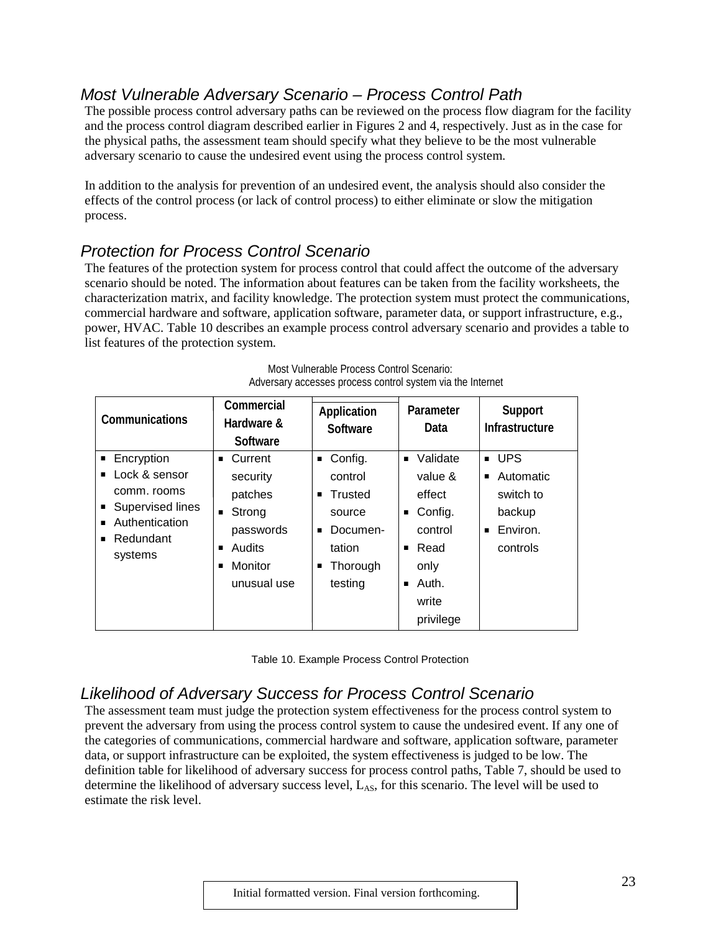# *Most Vulnerable Adversary Scenario – Process Control Path*

The possible process control adversary paths can be reviewed on the process flow diagram for the facility and the process control diagram described earlier in Figures 2 and 4, respectively. Just as in the case for the physical paths, the assessment team should specify what they believe to be the most vulnerable adversary scenario to cause the undesired event using the process control system.

In addition to the analysis for prevention of an undesired event, the analysis should also consider the effects of the control process (or lack of control process) to either eliminate or slow the mitigation process.

# *Protection for Process Control Scenario*

The features of the protection system for process control that could affect the outcome of the adversary scenario should be noted. The information about features can be taken from the facility worksheets, the characterization matrix, and facility knowledge. The protection system must protect the communications, commercial hardware and software, application software, parameter data, or support infrastructure, e.g., power, HVAC. Table 10 describes an example process control adversary scenario and provides a table to list features of the protection system.

| <b>Communications</b>                                                                                                                                                              | Commercial<br>Hardware &<br><b>Software</b>                                                                           | <b>Application</b><br><b>Software</b>                                                                                         | Parameter<br>Data                                                                                                         | <b>Support</b><br><b>Infrastructure</b>                                        |
|------------------------------------------------------------------------------------------------------------------------------------------------------------------------------------|-----------------------------------------------------------------------------------------------------------------------|-------------------------------------------------------------------------------------------------------------------------------|---------------------------------------------------------------------------------------------------------------------------|--------------------------------------------------------------------------------|
| $\blacksquare$ Encryption<br>Lock & sensor<br>$\blacksquare$<br>comm. rooms<br>Supervised lines<br>$\blacksquare$<br>Authentication<br>п<br>Redundant<br>$\blacksquare$<br>systems | Current<br>security<br>patches<br>Strong<br>$\blacksquare$<br>passwords<br>Audits<br>п<br>Monitor<br>п<br>unusual use | Config.<br>$\blacksquare$<br>control<br>Trusted<br>$\blacksquare$<br>source<br>Documen-<br>tation<br>Thorough<br>٠<br>testing | Validate<br>$\blacksquare$<br>value &<br>effect<br>Config.<br>٠<br>control<br>Read<br>only<br>Auth.<br>write<br>privilege | $\blacksquare$ UPS<br>Automatic<br>switch to<br>backup<br>Environ.<br>controls |

Most Vulnerable Process Control Scenario: Adversary accesses process control system via the Internet

Table 10. Example Process Control Protection

#### *Likelihood of Adversary Success for Process Control Scenario*

The assessment team must judge the protection system effectiveness for the process control system to prevent the adversary from using the process control system to cause the undesired event. If any one of the categories of communications, commercial hardware and software, application software, parameter data, or support infrastructure can be exploited, the system effectiveness is judged to be low. The definition table for likelihood of adversary success for process control paths, Table 7, should be used to determine the likelihood of adversary success level,  $L_{AS}$ , for this scenario. The level will be used to estimate the risk level.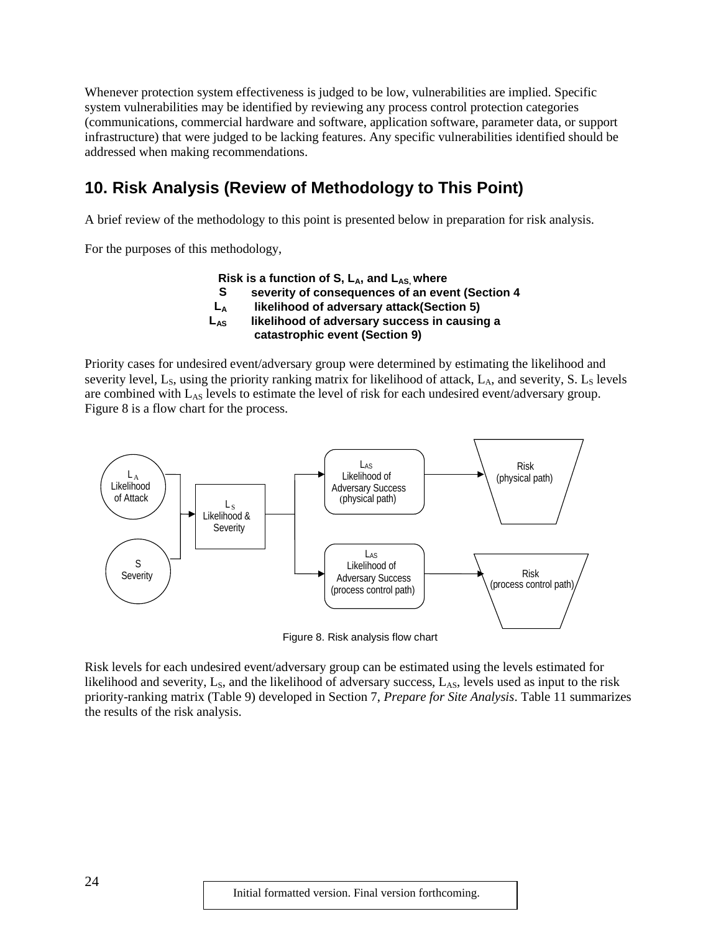Whenever protection system effectiveness is judged to be low, vulnerabilities are implied. Specific system vulnerabilities may be identified by reviewing any process control protection categories (communications, commercial hardware and software, application software, parameter data, or support infrastructure) that were judged to be lacking features. Any specific vulnerabilities identified should be addressed when making recommendations.

# **10. Risk Analysis (Review of Methodology to This Point)**

A brief review of the methodology to this point is presented below in preparation for risk analysis.

For the purposes of this methodology,

Risk is a function of S, L<sub>A</sub>, and L<sub>AS</sub> where **S** -severity of consequences of an event (Section 4 **LA likelihood of adversary attack(Section 5) LAS likelihood of adversary success in causing a catastrophic event (Section 9)**

Priority cases for undesired event/adversary group were determined by estimating the likelihood and severity level,  $L_s$ , using the priority ranking matrix for likelihood of attack,  $L_A$ , and severity, S.  $L_s$  levels are combined with  $L_{AS}$  levels to estimate the level of risk for each undesired event/adversary group. Figure 8 is a flow chart for the process.



Figure 8. Risk analysis flow chart

Risk levels for each undesired event/adversary group can be estimated using the levels estimated for likelihood and severity,  $L_s$ , and the likelihood of adversary success,  $L_{AS}$ , levels used as input to the risk priority-ranking matrix (Table 9) developed in Section 7, *Prepare for Site Analysis*. Table 11 summarizes the results of the risk analysis.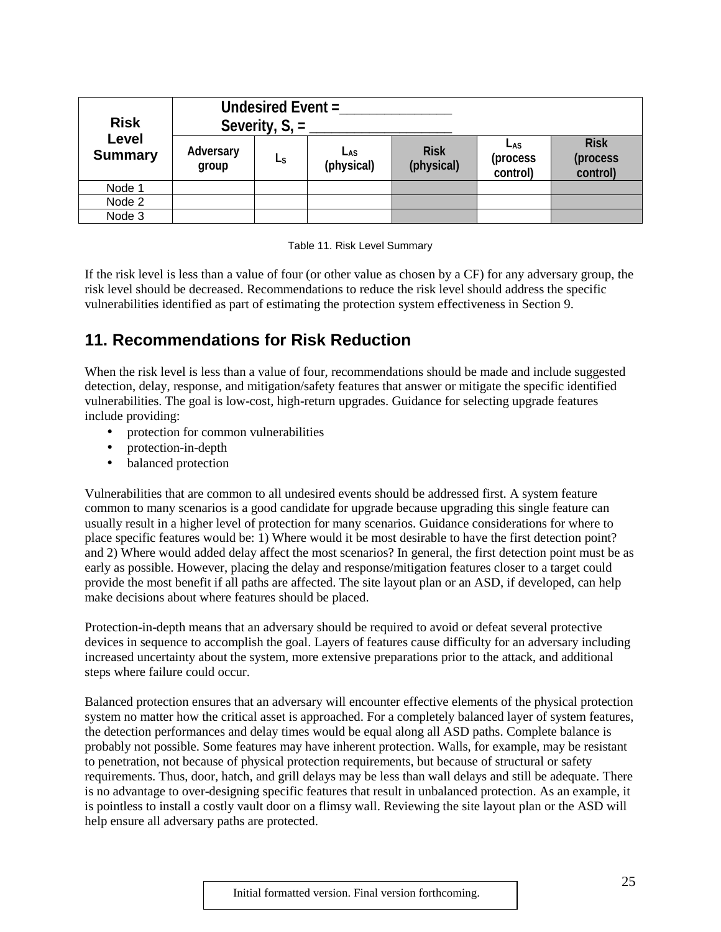| <b>Risk</b>             | <b>Undesired Event =</b><br>Severity, $S_i =$ |    |                               |                           |                             |                                     |  |  |
|-------------------------|-----------------------------------------------|----|-------------------------------|---------------------------|-----------------------------|-------------------------------------|--|--|
| Level<br><b>Summary</b> | <b>Adversary</b><br>group                     | Ls | L <sub>AS</sub><br>(physical) | <b>Risk</b><br>(physical) | LAS<br>(process<br>control) | <b>Risk</b><br>(process<br>control) |  |  |
| Node 1                  |                                               |    |                               |                           |                             |                                     |  |  |
| Node 2                  |                                               |    |                               |                           |                             |                                     |  |  |
| Node 3                  |                                               |    |                               |                           |                             |                                     |  |  |

Table 11. Risk Level Summary

If the risk level is less than a value of four (or other value as chosen by a CF) for any adversary group, the risk level should be decreased. Recommendations to reduce the risk level should address the specific vulnerabilities identified as part of estimating the protection system effectiveness in Section 9.

# **11. Recommendations for Risk Reduction**

When the risk level is less than a value of four, recommendations should be made and include suggested detection, delay, response, and mitigation/safety features that answer or mitigate the specific identified vulnerabilities. The goal is low-cost, high-return upgrades. Guidance for selecting upgrade features include providing:

- protection for common vulnerabilities
- protection-in-depth
- balanced protection

Vulnerabilities that are common to all undesired events should be addressed first. A system feature common to many scenarios is a good candidate for upgrade because upgrading this single feature can usually result in a higher level of protection for many scenarios. Guidance considerations for where to place specific features would be: 1) Where would it be most desirable to have the first detection point? and 2) Where would added delay affect the most scenarios? In general, the first detection point must be as early as possible. However, placing the delay and response/mitigation features closer to a target could provide the most benefit if all paths are affected. The site layout plan or an ASD, if developed, can help make decisions about where features should be placed.

Protection-in-depth means that an adversary should be required to avoid or defeat several protective devices in sequence to accomplish the goal. Layers of features cause difficulty for an adversary including increased uncertainty about the system, more extensive preparations prior to the attack, and additional steps where failure could occur.

Balanced protection ensures that an adversary will encounter effective elements of the physical protection system no matter how the critical asset is approached. For a completely balanced layer of system features, the detection performances and delay times would be equal along all ASD paths. Complete balance is probably not possible. Some features may have inherent protection. Walls, for example, may be resistant to penetration, not because of physical protection requirements, but because of structural or safety requirements. Thus, door, hatch, and grill delays may be less than wall delays and still be adequate. There is no advantage to over-designing specific features that result in unbalanced protection. As an example, it is pointless to install a costly vault door on a flimsy wall. Reviewing the site layout plan or the ASD will help ensure all adversary paths are protected.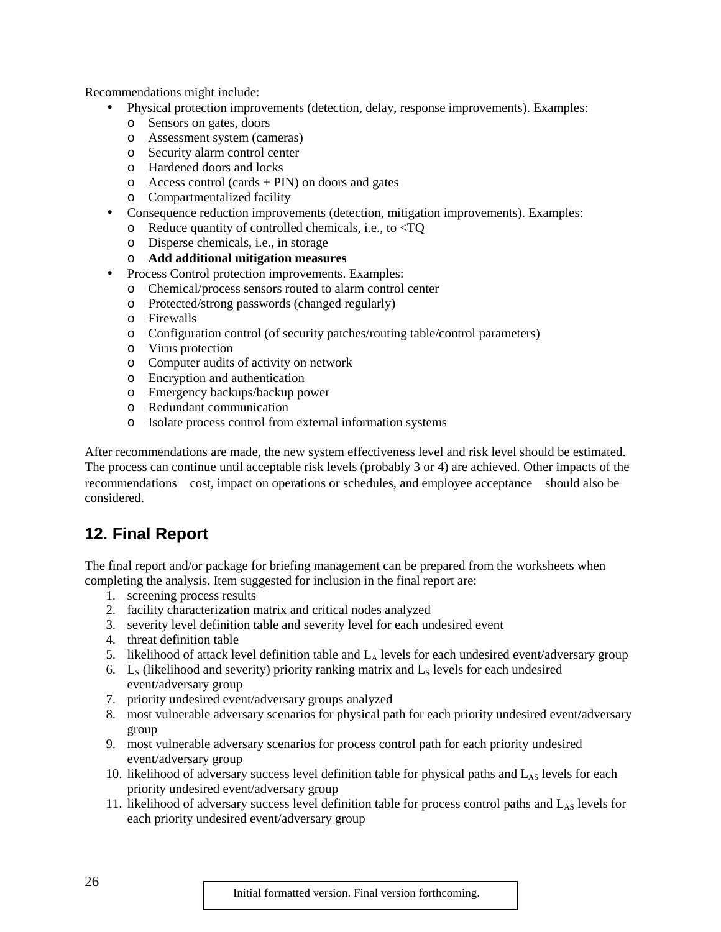Recommendations might include:

- Physical protection improvements (detection, delay, response improvements). Examples:
	- o Sensors on gates, doors
	- o Assessment system (cameras)
	- o Security alarm control center
	- o Hardened doors and locks
	- $\circ$  Access control (cards + PIN) on doors and gates
	- o Compartmentalized facility
- Consequence reduction improvements (detection, mitigation improvements). Examples:
	- o Reduce quantity of controlled chemicals, i.e., to <TQ
	- o Disperse chemicals, i.e., in storage
	- o **Add additional mitigation measures**
- Process Control protection improvements. Examples:
	- o Chemical/process sensors routed to alarm control center
	- o Protected/strong passwords (changed regularly)
	- o Firewalls
	- o Configuration control (of security patches/routing table/control parameters)
	- o Virus protection
	- o Computer audits of activity on network
	- o Encryption and authentication
	- o Emergency backups/backup power
	- o Redundant communication
	- o Isolate process control from external information systems

After recommendations are made, the new system effectiveness level and risk level should be estimated. The process can continue until acceptable risk levels (probably 3 or 4) are achieved. Other impacts of the recommendations—cost, impact on operations or schedules, and employee acceptance—should also be considered.

# **12. Final Report**

The final report and/or package for briefing management can be prepared from the worksheets when completing the analysis. Item suggested for inclusion in the final report are:

- 1. screening process results
- 2. facility characterization matrix and critical nodes analyzed
- 3. severity level definition table and severity level for each undesired event
- 4. threat definition table
- 5. likelihood of attack level definition table and  $L_A$  levels for each undesired event/adversary group
- 6. L<sub>s</sub> (likelihood and severity) priority ranking matrix and L<sub>s</sub> levels for each undesired event/adversary group
- 7. priority undesired event/adversary groups analyzed
- 8. most vulnerable adversary scenarios for physical path for each priority undesired event/adversary group
- 9. most vulnerable adversary scenarios for process control path for each priority undesired event/adversary group
- 10. likelihood of adversary success level definition table for physical paths and LAS levels for each priority undesired event/adversary group
- 11. likelihood of adversary success level definition table for process control paths and LAS levels for each priority undesired event/adversary group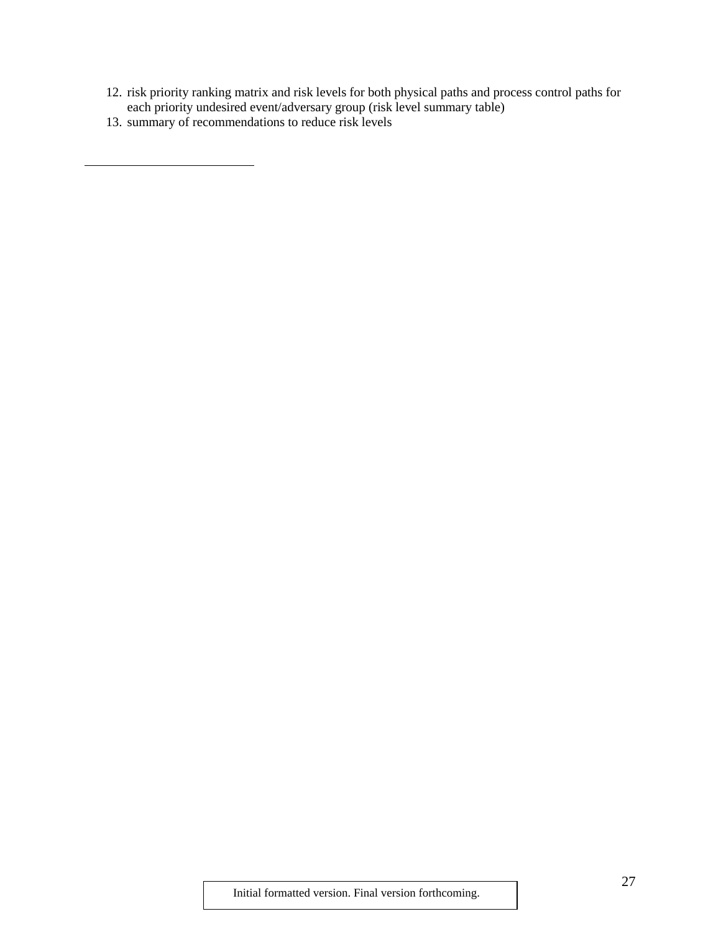- 12. risk priority ranking matrix and risk levels for both physical paths and process control paths for each priority undesired event/adversary group (risk level summary table)
- 13. summary of recommendations to reduce risk levels

 $\overline{\phantom{a}}$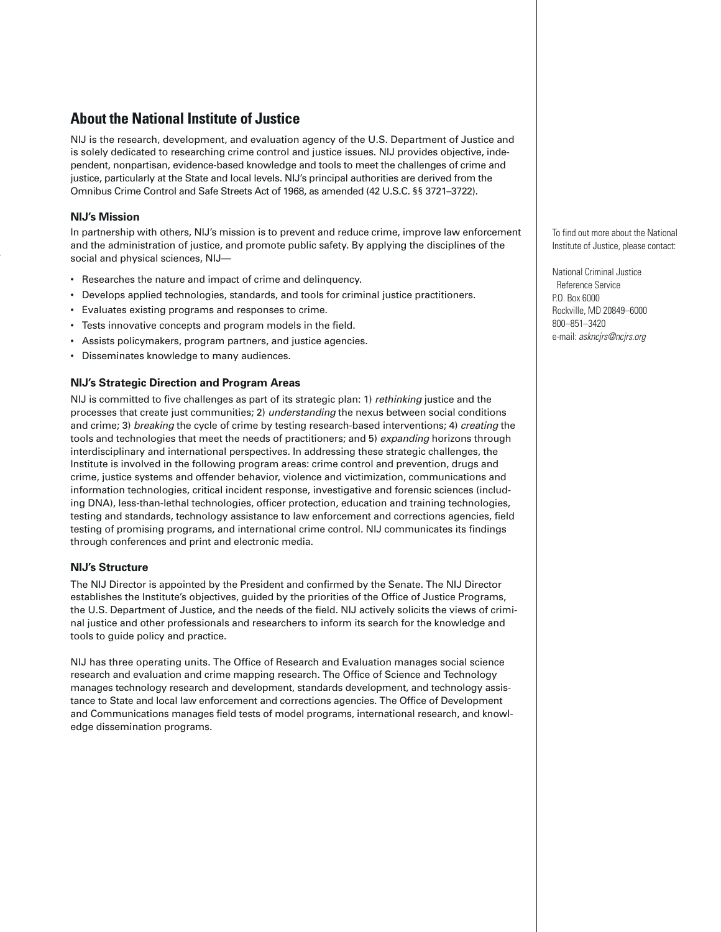#### **About the National Institute of Justice**

NIJ is the research, development, and evaluation agency of the U.S. Department of Justice and is solely dedicated to researching crime control and justice issues. NIJ provides objective, independent, nonpartisan, evidence-based knowledge and tools to meet the challenges of crime and justice, particularly at the State and local levels. NIJ's principal authorities are derived from the Omnibus Crime Control and Safe Streets Act of 1968, as amended (42 U.S.C. §§ 3721–3722).

#### **NIJ's Mission**

In partnership with others, NIJ's mission is to prevent and reduce crime, improve law enforcement and the administration of justice, and promote public safety. By applying the disciplines of the social and physical sciences, NIJ—

- Researches the nature and impact of crime and delinquency.
- Develops applied technologies, standards, and tools for criminal justice practitioners.
- Evaluates existing programs and responses to crime.
- Tests innovative concepts and program models in the field.
- Assists policymakers, program partners, and justice agencies.
- Disseminates knowledge to many audiences.

#### **NIJ's Strategic Direction and Program Areas**

NIJ is committed to five challenges as part of its strategic plan: 1) *rethinking* justice and the processes that create just communities; 2) *understanding* the nexus between social conditions and crime; 3) *breaking* the cycle of crime by testing research-based interventions; 4) *creating* the tools and technologies that meet the needs of practitioners; and 5) *expanding* horizons through interdisciplinary and international perspectives. In addressing these strategic challenges, the Institute is involved in the following program areas: crime control and prevention, drugs and crime, justice systems and offender behavior, violence and victimization, communications and information technologies, critical incident response, investigative and forensic sciences (including DNA), less-than-lethal technologies, officer protection, education and training technologies, testing and standards, technology assistance to law enforcement and corrections agencies, field testing of promising programs, and international crime control. NIJ communicates its findings through conferences and print and electronic media.

#### **NIJ's Structure**

The NIJ Director is appointed by the President and confirmed by the Senate. The NIJ Director establishes the Institute's objectives, guided by the priorities of the Office of Justice Programs, the U.S. Department of Justice, and the needs of the field. NIJ actively solicits the views of criminal justice and other professionals and researchers to inform its search for the knowledge and tools to guide policy and practice.

NIJ has three operating units. The Office of Research and Evaluation manages social science research and evaluation and crime mapping research. The Office of Science and Technology manages technology research and development, standards development, and technology assistance to State and local law enforcement and corrections agencies. The Office of Development and Communications manages field tests of model programs, international research, and knowledge dissemination programs.

To find out more about the National Institute of Justice, please contact:

National Criminal Justice Reference Service P.O. Box 6000 Rockville, MD 20849–6000 800–851–3420 e-mail: *askncjrs@ncjrs.org*